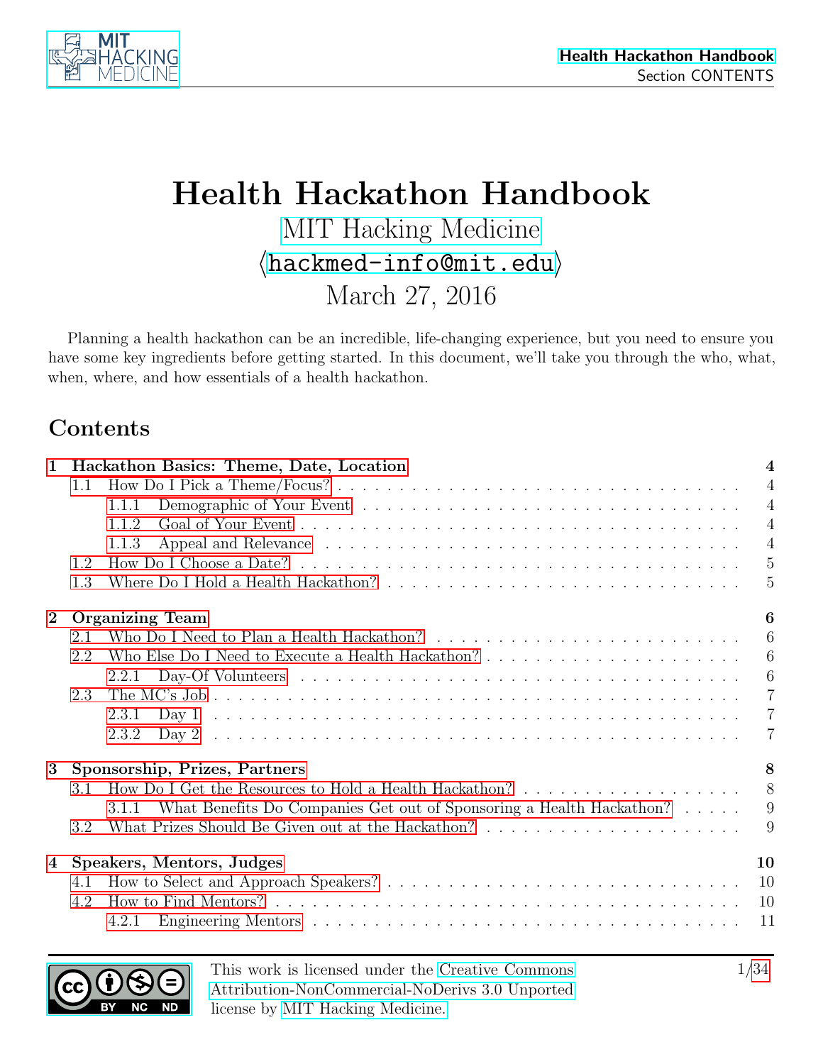

# Health Hackathon Handbook [MIT Hacking Medicine](http://hackingmedicine.mit.edu/)  $\langle$ [hackmed-info@mit.edu](mailto:hackmed-info@mit.edu) $\rangle$ March 27, 2016

Planning a health hackathon can be an incredible, life-changing experience, but you need to ensure you have some key ingredients before getting started. In this document, we'll take you through the who, what, when, where, and how essentials of a health hackathon.

## Contents

| $\mathbf{1}$   |     | Hackathon Basics: Theme, Date, Location                                                                              | $\overline{\mathbf{4}}$ |  |  |  |  |  |  |
|----------------|-----|----------------------------------------------------------------------------------------------------------------------|-------------------------|--|--|--|--|--|--|
|                | 1.1 |                                                                                                                      | $\overline{4}$          |  |  |  |  |  |  |
|                |     | 1.1.1                                                                                                                | $\overline{4}$          |  |  |  |  |  |  |
|                |     | 1.1.2                                                                                                                | $\overline{4}$          |  |  |  |  |  |  |
|                |     | 1.1.3                                                                                                                | $\overline{4}$          |  |  |  |  |  |  |
|                | 1.2 | How Do I Choose a Date? $\ldots \ldots \ldots \ldots \ldots \ldots \ldots \ldots \ldots \ldots \ldots \ldots \ldots$ | $\overline{5}$          |  |  |  |  |  |  |
|                | 1.3 |                                                                                                                      | 5                       |  |  |  |  |  |  |
| $\bf{2}$       |     | 6<br><b>Organizing Team</b>                                                                                          |                         |  |  |  |  |  |  |
|                | 2.1 |                                                                                                                      | 6                       |  |  |  |  |  |  |
|                | 2.2 |                                                                                                                      | 6                       |  |  |  |  |  |  |
|                |     | 2.2.1                                                                                                                | $6\phantom{.}6$         |  |  |  |  |  |  |
|                | 2.3 |                                                                                                                      | $\overline{7}$          |  |  |  |  |  |  |
|                |     | 2.3.1                                                                                                                | $\overline{7}$          |  |  |  |  |  |  |
|                |     | 2.3.2                                                                                                                | $\overline{7}$          |  |  |  |  |  |  |
| $\bf{3}$       |     | Sponsorship, Prizes, Partners                                                                                        | 8                       |  |  |  |  |  |  |
|                | 3.1 |                                                                                                                      | 8                       |  |  |  |  |  |  |
|                |     | 3.1.1 What Benefits Do Companies Get out of Sponsoring a Health Hackathon?                                           | 9                       |  |  |  |  |  |  |
|                | 3.2 |                                                                                                                      | 9                       |  |  |  |  |  |  |
| $\overline{4}$ |     | Speakers, Mentors, Judges                                                                                            | 10                      |  |  |  |  |  |  |
|                | 4.1 |                                                                                                                      | 10                      |  |  |  |  |  |  |
|                | 4.2 |                                                                                                                      | 10                      |  |  |  |  |  |  |
|                |     | 4.2.1                                                                                                                | 11                      |  |  |  |  |  |  |

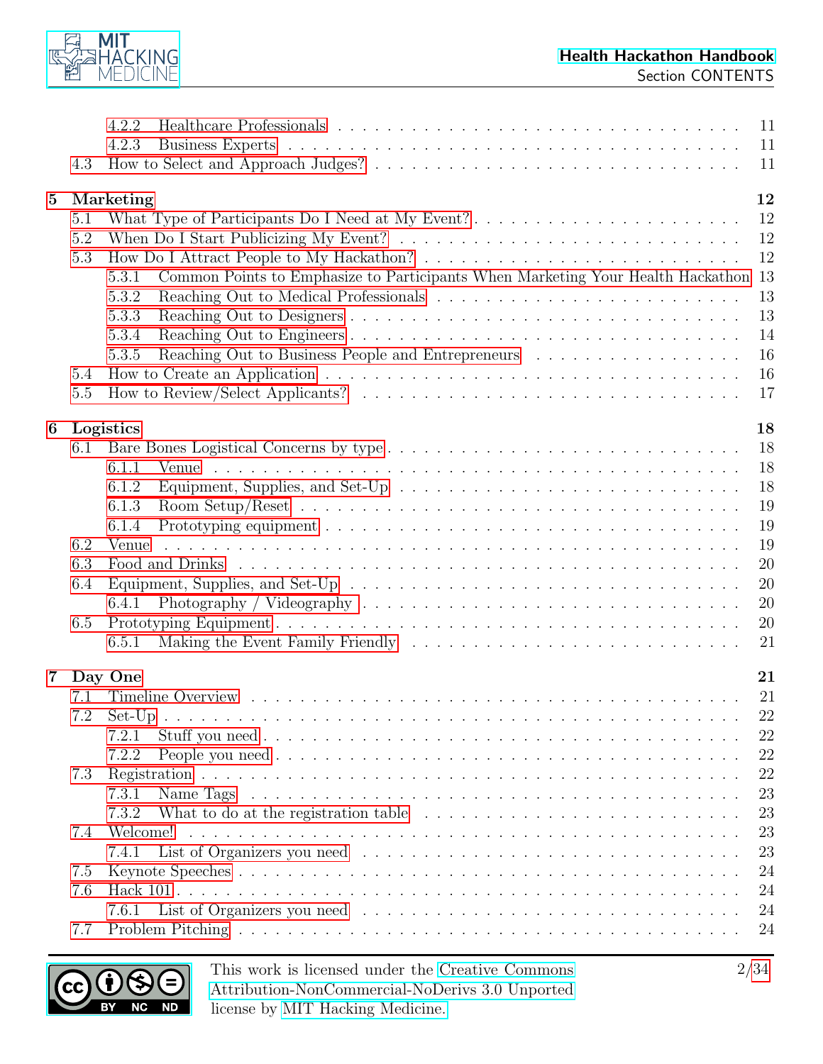

|                | 4.3                                    | 4.2.2<br>4.2.3                                                                                                                                                                                                                                                                                                                                                                                                                  | 11<br>11<br>11                                                                   |
|----------------|----------------------------------------|---------------------------------------------------------------------------------------------------------------------------------------------------------------------------------------------------------------------------------------------------------------------------------------------------------------------------------------------------------------------------------------------------------------------------------|----------------------------------------------------------------------------------|
| $\mathbf{5}$   | 5.1<br>5.2<br>5.3<br>5.4<br>5.5        | Marketing<br>What Type of Participants Do I Need at My Event?<br>Common Points to Emphasize to Participants When Marketing Your Health Hackathon 13<br>5.3.1<br>5.3.2<br>5.3.3<br>5.3.4<br>Reaching Out to Business People and Entrepreneurs<br>5.3.5<br>How to Review/Select Applicants? $\ldots \ldots \ldots \ldots \ldots \ldots \ldots \ldots \ldots \ldots \ldots$                                                        | 12<br>12<br>12<br>12<br>13<br>13<br>14<br>16<br>16<br>17                         |
| 6              | 6.1<br>6.2<br>6.3<br>6.4<br>6.5        | Logistics<br>6.1.1<br>Venue<br>a constitution de la constitution de la constitution de la constitution de la constitution de la constitution<br>Equipment, Supplies, and Set-Up $\ldots \ldots \ldots \ldots \ldots \ldots \ldots \ldots \ldots \ldots$<br>6.1.2<br>6.1.3<br>6.1.4<br>Venue<br>Equipment, Supplies, and Set-Up $\ldots \ldots \ldots \ldots \ldots \ldots \ldots \ldots \ldots \ldots \ldots$<br>6.4.1<br>6.5.1 | 18<br>18<br>18<br>18<br>19<br>19<br>19<br>20<br>20<br>20<br>20<br>21             |
| $7\phantom{.}$ | 7.1<br>7.3<br>7.4<br>7.5<br>7.6<br>7.7 | Day One<br>7.2.1<br>7.2.2<br>7.3.1<br>What to do at the registration table $\ldots \ldots \ldots \ldots \ldots \ldots \ldots \ldots \ldots$<br>7.3.2<br>Welcome!<br>7.4.1<br>7.6.1                                                                                                                                                                                                                                              | 21<br>21<br>22<br>22<br>22<br>22<br>23<br>23<br>23<br>23<br>24<br>24<br>24<br>24 |

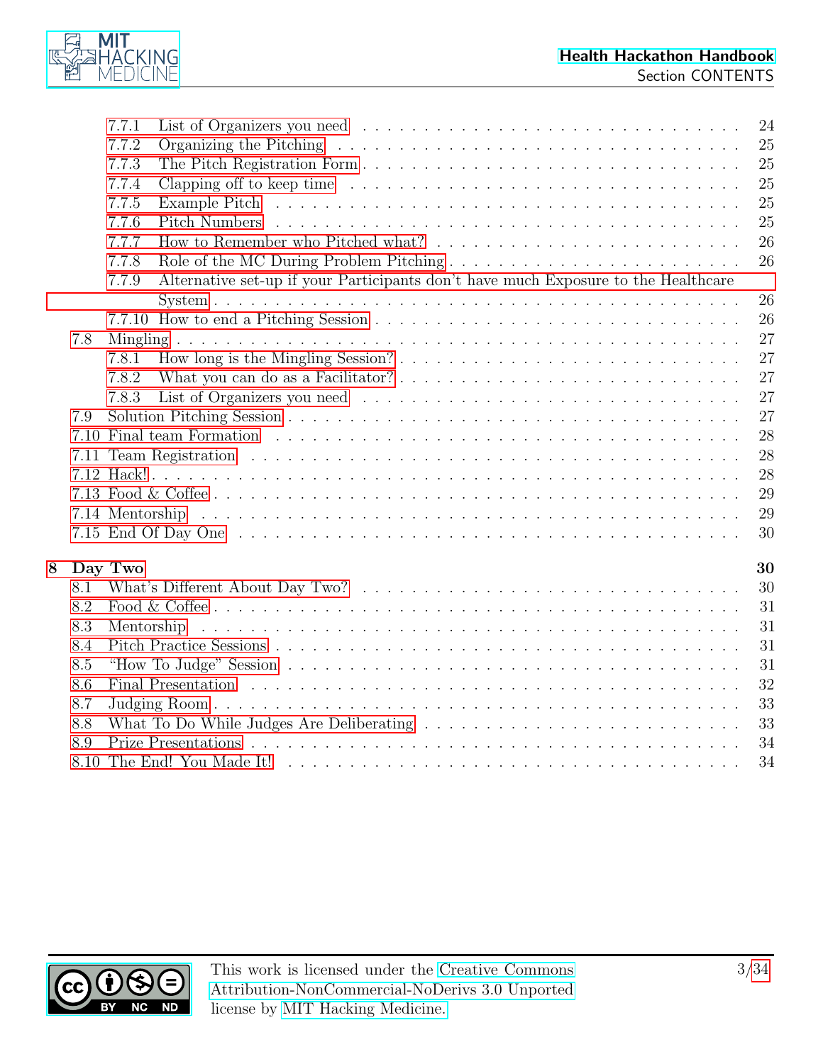

|   |      | 7.7.1          | 24                                                                                                                    |  |
|---|------|----------------|-----------------------------------------------------------------------------------------------------------------------|--|
|   |      | 7.7.2<br>7.7.3 | 25<br>25                                                                                                              |  |
|   |      | 7.7.4          | 25                                                                                                                    |  |
|   |      | 7.7.5          | 25                                                                                                                    |  |
|   |      |                |                                                                                                                       |  |
|   |      | 7.7.6          | 25                                                                                                                    |  |
|   |      | 7.7.7          | 26                                                                                                                    |  |
|   |      | 7.7.8          | 26<br>Role of the MC During Problem Pitching                                                                          |  |
|   |      | 7.7.9          | Alternative set-up if your Participants don't have much Exposure to the Healthcare                                    |  |
|   |      |                | 26                                                                                                                    |  |
|   |      |                | 26                                                                                                                    |  |
|   | 7.8  |                | 27                                                                                                                    |  |
|   |      | 7.8.1          | 27                                                                                                                    |  |
|   |      | 7.8.2          | 27                                                                                                                    |  |
|   |      | 7.8.3          | 27                                                                                                                    |  |
|   | 7.9  |                | 27                                                                                                                    |  |
|   |      |                | 28                                                                                                                    |  |
|   |      |                | 28                                                                                                                    |  |
|   |      |                | 28                                                                                                                    |  |
|   |      |                | 29                                                                                                                    |  |
|   |      |                | 29                                                                                                                    |  |
|   |      |                | 30                                                                                                                    |  |
|   |      |                |                                                                                                                       |  |
| 8 |      | Day Two        | 30                                                                                                                    |  |
|   | 8.1  |                | 30                                                                                                                    |  |
|   | 8.2  |                | 31                                                                                                                    |  |
|   | 8.3  | Mentorship     | and the company of the company of the company of the company of the company of the company of the company of th<br>31 |  |
|   | 8.4  |                | 31                                                                                                                    |  |
|   | 8.5  |                | 31                                                                                                                    |  |
|   | 8.6  |                | 32                                                                                                                    |  |
|   | 8.7  |                | 33                                                                                                                    |  |
|   | 8.8  |                | 33<br>What To Do While Judges Are Deliberating $\ldots \ldots \ldots \ldots \ldots \ldots \ldots \ldots \ldots$       |  |
|   | 8.9  |                | 34                                                                                                                    |  |
|   | 8.10 |                | 34                                                                                                                    |  |
|   |      |                |                                                                                                                       |  |

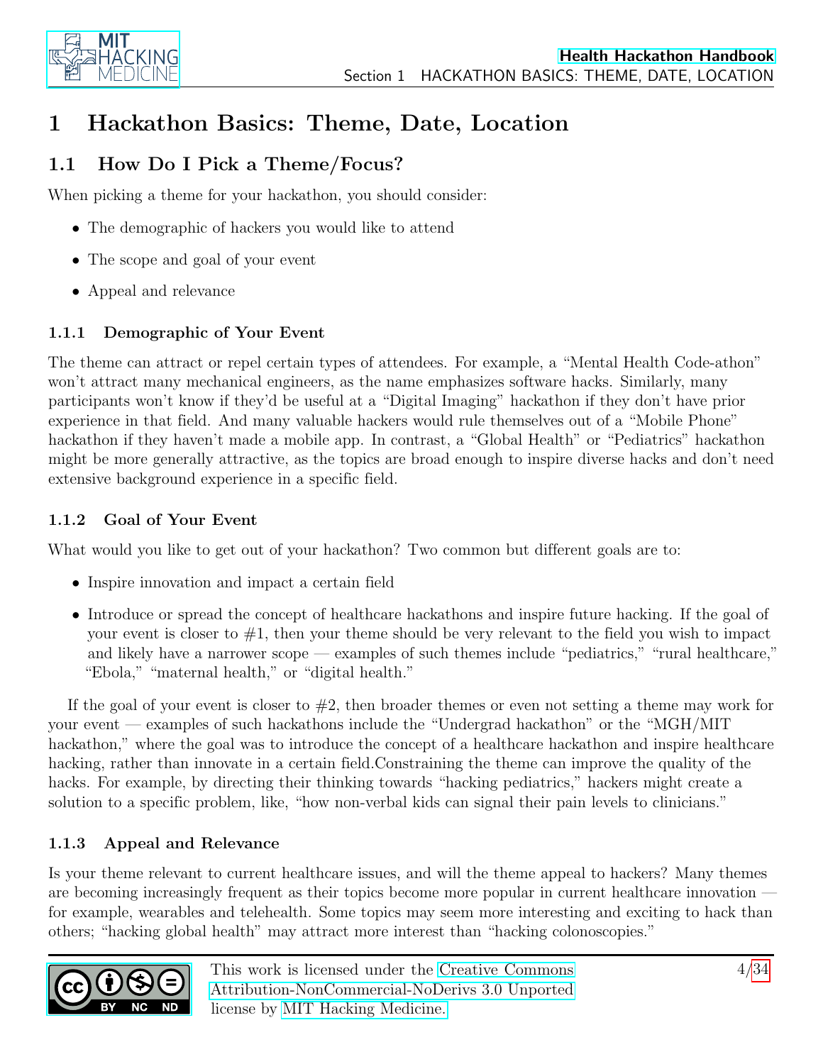

## <span id="page-3-0"></span>1 Hackathon Basics: Theme, Date, Location

### <span id="page-3-1"></span>1.1 How Do I Pick a Theme/Focus?

When picking a theme for your hackathon, you should consider:

- The demographic of hackers you would like to attend
- The scope and goal of your event
- Appeal and relevance

#### <span id="page-3-2"></span>1.1.1 Demographic of Your Event

The theme can attract or repel certain types of attendees. For example, a "Mental Health Code-athon" won't attract many mechanical engineers, as the name emphasizes software hacks. Similarly, many participants won't know if they'd be useful at a "Digital Imaging" hackathon if they don't have prior experience in that field. And many valuable hackers would rule themselves out of a "Mobile Phone" hackathon if they haven't made a mobile app. In contrast, a "Global Health" or "Pediatrics" hackathon might be more generally attractive, as the topics are broad enough to inspire diverse hacks and don't need extensive background experience in a specific field.

#### <span id="page-3-3"></span>1.1.2 Goal of Your Event

What would you like to get out of your hackathon? Two common but different goals are to:

- Inspire innovation and impact a certain field
- Introduce or spread the concept of healthcare hackathons and inspire future hacking. If the goal of your event is closer to  $#1$ , then your theme should be very relevant to the field you wish to impact and likely have a narrower scope — examples of such themes include "pediatrics," "rural healthcare," "Ebola," "maternal health," or "digital health."

If the goal of your event is closer to  $#2$ , then broader themes or even not setting a theme may work for your event — examples of such hackathons include the "Undergrad hackathon" or the "MGH/MIT hackathon," where the goal was to introduce the concept of a healthcare hackathon and inspire healthcare hacking, rather than innovate in a certain field.Constraining the theme can improve the quality of the hacks. For example, by directing their thinking towards "hacking pediatrics," hackers might create a solution to a specific problem, like, "how non-verbal kids can signal their pain levels to clinicians."

#### <span id="page-3-4"></span>1.1.3 Appeal and Relevance

Is your theme relevant to current healthcare issues, and will the theme appeal to hackers? Many themes are becoming increasingly frequent as their topics become more popular in current healthcare innovation for example, wearables and telehealth. Some topics may seem more interesting and exciting to hack than others; "hacking global health" may attract more interest than "hacking colonoscopies."

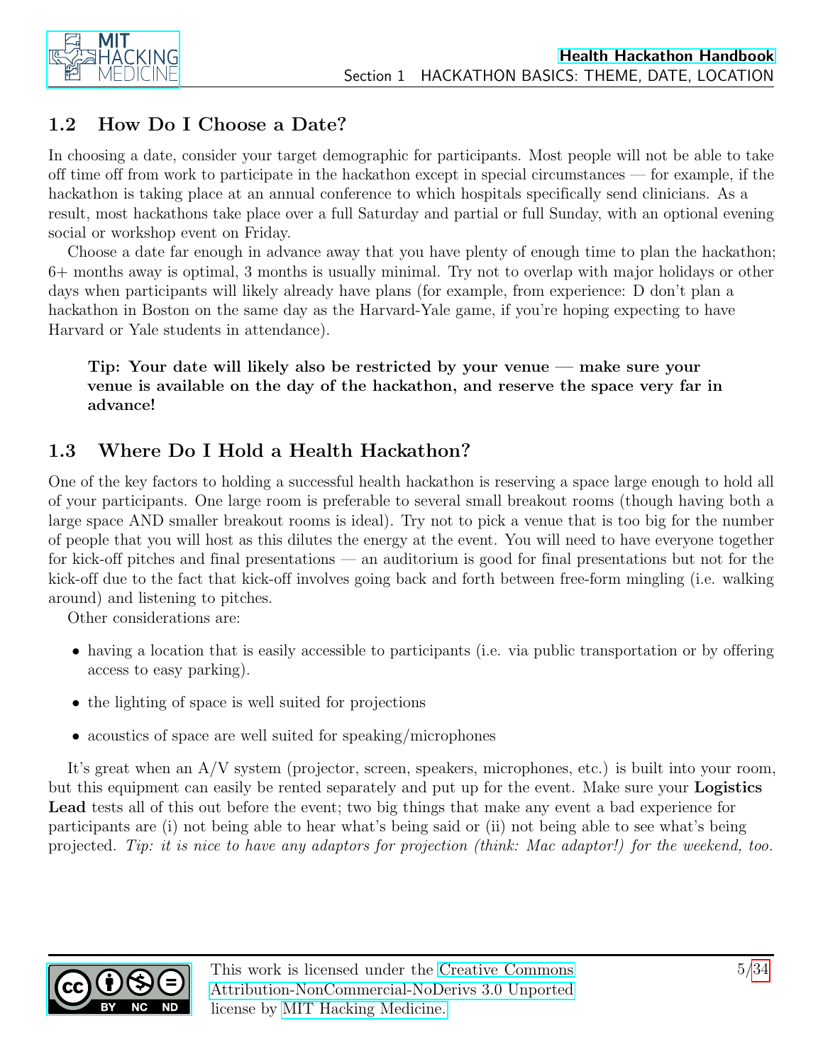

### <span id="page-4-0"></span>1.2 How Do I Choose a Date?

In choosing a date, consider your target demographic for participants. Most people will not be able to take off time off from work to participate in the hackathon except in special circumstances — for example, if the hackathon is taking place at an annual conference to which hospitals specifically send clinicians. As a result, most hackathons take place over a full Saturday and partial or full Sunday, with an optional evening social or workshop event on Friday.

Choose a date far enough in advance away that you have plenty of enough time to plan the hackathon; 6+ months away is optimal, 3 months is usually minimal. Try not to overlap with major holidays or other days when participants will likely already have plans (for example, from experience: D don't plan a hackathon in Boston on the same day as the Harvard-Yale game, if you're hoping expecting to have Harvard or Yale students in attendance).

Tip: Your date will likely also be restricted by your venue — make sure your venue is available on the day of the hackathon, and reserve the space very far in advance!

### <span id="page-4-1"></span>1.3 Where Do I Hold a Health Hackathon?

One of the key factors to holding a successful health hackathon is reserving a space large enough to hold all of your participants. One large room is preferable to several small breakout rooms (though having both a large space AND smaller breakout rooms is ideal). Try not to pick a venue that is too big for the number of people that you will host as this dilutes the energy at the event. You will need to have everyone together for kick-off pitches and final presentations — an auditorium is good for final presentations but not for the kick-off due to the fact that kick-off involves going back and forth between free-form mingling (i.e. walking around) and listening to pitches.

Other considerations are:

- having a location that is easily accessible to participants (i.e. via public transportation or by offering access to easy parking).
- the lighting of space is well suited for projections
- acoustics of space are well suited for speaking/microphones

It's great when an A/V system (projector, screen, speakers, microphones, etc.) is built into your room, but this equipment can easily be rented separately and put up for the event. Make sure your Logistics Lead tests all of this out before the event; two big things that make any event a bad experience for participants are (i) not being able to hear what's being said or (ii) not being able to see what's being projected. Tip: it is nice to have any adaptors for projection (think: Mac adaptor!) for the weekend, too.

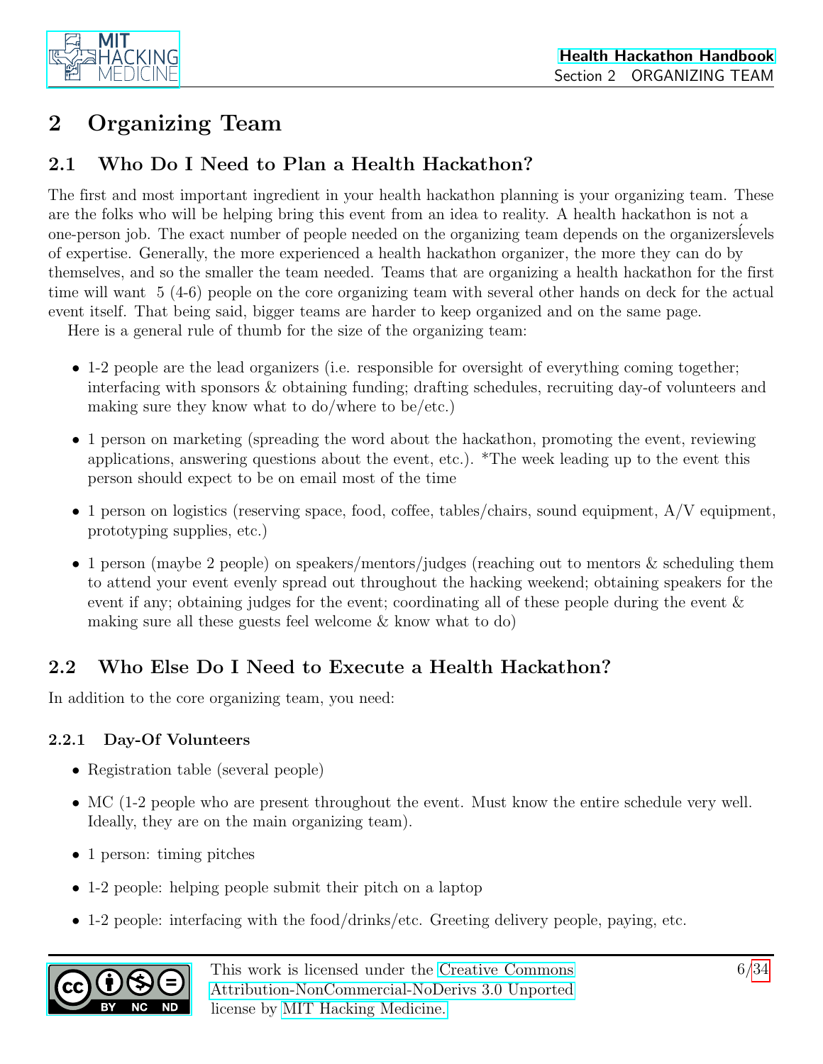

## <span id="page-5-0"></span>2 Organizing Team

### <span id="page-5-1"></span>2.1 Who Do I Need to Plan a Health Hackathon?

The first and most important ingredient in your health hackathon planning is your organizing team. These are the folks who will be helping bring this event from an idea to reality. A health hackathon is not a one-person job. The exact number of people needed on the organizing team depends on the organizers levels of expertise. Generally, the more experienced a health hackathon organizer, the more they can do by themselves, and so the smaller the team needed. Teams that are organizing a health hackathon for the first time will want 5 (4-6) people on the core organizing team with several other hands on deck for the actual event itself. That being said, bigger teams are harder to keep organized and on the same page.

Here is a general rule of thumb for the size of the organizing team:

- 1-2 people are the lead organizers (i.e. responsible for oversight of everything coming together; interfacing with sponsors & obtaining funding; drafting schedules, recruiting day-of volunteers and making sure they know what to do/where to be/etc.)
- 1 person on marketing (spreading the word about the hackathon, promoting the event, reviewing applications, answering questions about the event, etc.). \*The week leading up to the event this person should expect to be on email most of the time
- 1 person on logistics (reserving space, food, coffee, tables/chairs, sound equipment, A/V equipment, prototyping supplies, etc.)
- 1 person (maybe 2 people) on speakers/mentors/judges (reaching out to mentors & scheduling them to attend your event evenly spread out throughout the hacking weekend; obtaining speakers for the event if any; obtaining judges for the event; coordinating all of these people during the event & making sure all these guests feel welcome & know what to do)

### <span id="page-5-2"></span>2.2 Who Else Do I Need to Execute a Health Hackathon?

In addition to the core organizing team, you need:

#### <span id="page-5-3"></span>2.2.1 Day-Of Volunteers

- Registration table (several people)
- MC (1-2 people who are present throughout the event. Must know the entire schedule very well. Ideally, they are on the main organizing team).
- 1 person: timing pitches
- 1-2 people: helping people submit their pitch on a laptop
- 1-2 people: interfacing with the food/drinks/etc. Greeting delivery people, paying, etc.

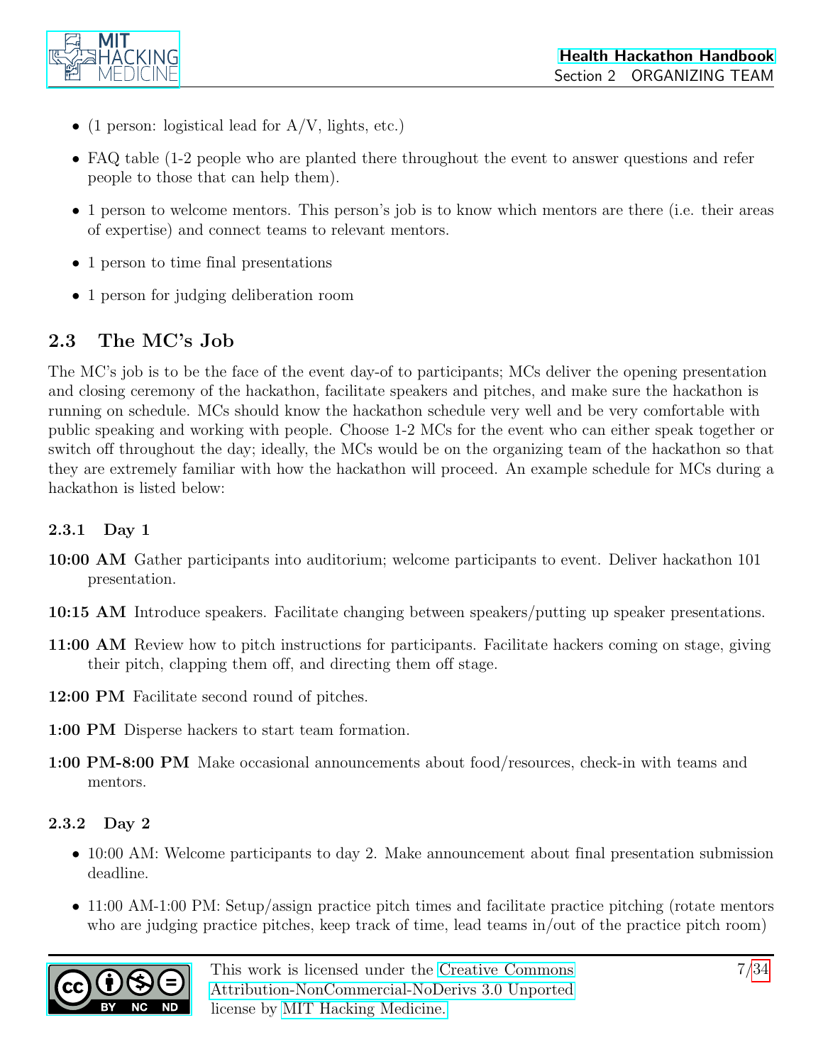

- (1 person: logistical lead for  $A/V$ , lights, etc.)
- FAQ table (1-2 people who are planted there throughout the event to answer questions and refer people to those that can help them).
- 1 person to welcome mentors. This person's job is to know which mentors are there (i.e. their areas of expertise) and connect teams to relevant mentors.
- 1 person to time final presentations
- 1 person for judging deliberation room

### <span id="page-6-0"></span>2.3 The MC's Job

The MC's job is to be the face of the event day-of to participants; MCs deliver the opening presentation and closing ceremony of the hackathon, facilitate speakers and pitches, and make sure the hackathon is running on schedule. MCs should know the hackathon schedule very well and be very comfortable with public speaking and working with people. Choose 1-2 MCs for the event who can either speak together or switch off throughout the day; ideally, the MCs would be on the organizing team of the hackathon so that they are extremely familiar with how the hackathon will proceed. An example schedule for MCs during a hackathon is listed below:

#### <span id="page-6-1"></span>2.3.1 Day 1

- 10:00 AM Gather participants into auditorium; welcome participants to event. Deliver hackathon 101 presentation.
- 10:15 AM Introduce speakers. Facilitate changing between speakers/putting up speaker presentations.
- 11:00 AM Review how to pitch instructions for participants. Facilitate hackers coming on stage, giving their pitch, clapping them off, and directing them off stage.
- 12:00 PM Facilitate second round of pitches.
- 1:00 PM Disperse hackers to start team formation.
- 1:00 PM-8:00 PM Make occasional announcements about food/resources, check-in with teams and mentors.

#### <span id="page-6-2"></span>2.3.2 Day 2

- 10:00 AM: Welcome participants to day 2. Make announcement about final presentation submission deadline.
- 11:00 AM-1:00 PM: Setup/assign practice pitch times and facilitate practice pitching (rotate mentors who are judging practice pitches, keep track of time, lead teams in/out of the practice pitch room)

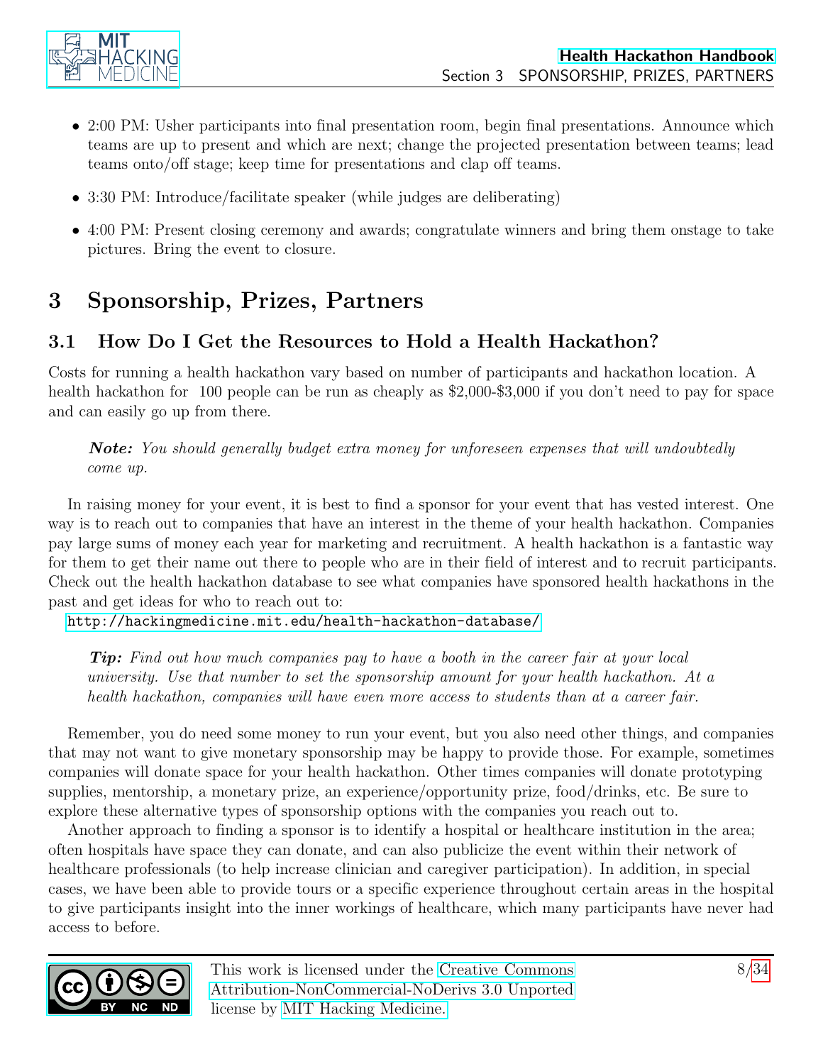

- 2:00 PM: Usher participants into final presentation room, begin final presentations. Announce which teams are up to present and which are next; change the projected presentation between teams; lead teams onto/off stage; keep time for presentations and clap off teams.
- 3:30 PM: Introduce/facilitate speaker (while judges are deliberating)
- 4:00 PM: Present closing ceremony and awards; congratulate winners and bring them onstage to take pictures. Bring the event to closure.

## <span id="page-7-0"></span>3 Sponsorship, Prizes, Partners

### <span id="page-7-1"></span>3.1 How Do I Get the Resources to Hold a Health Hackathon?

Costs for running a health hackathon vary based on number of participants and hackathon location. A health hackathon for 100 people can be run as cheaply as \$2,000-\$3,000 if you don't need to pay for space and can easily go up from there.

**Note:** You should generally budget extra money for unforeseen expenses that will undoubtedly come up.

In raising money for your event, it is best to find a sponsor for your event that has vested interest. One way is to reach out to companies that have an interest in the theme of your health hackathon. Companies pay large sums of money each year for marketing and recruitment. A health hackathon is a fantastic way for them to get their name out there to people who are in their field of interest and to recruit participants. Check out the health hackathon database to see what companies have sponsored health hackathons in the past and get ideas for who to reach out to:

<http://hackingmedicine.mit.edu/health-hackathon-database/>

**Tip:** Find out how much companies pay to have a booth in the career fair at your local university. Use that number to set the sponsorship amount for your health hackathon. At a health hackathon, companies will have even more access to students than at a career fair.

Remember, you do need some money to run your event, but you also need other things, and companies that may not want to give monetary sponsorship may be happy to provide those. For example, sometimes companies will donate space for your health hackathon. Other times companies will donate prototyping supplies, mentorship, a monetary prize, an experience/opportunity prize, food/drinks, etc. Be sure to explore these alternative types of sponsorship options with the companies you reach out to.

Another approach to finding a sponsor is to identify a hospital or healthcare institution in the area; often hospitals have space they can donate, and can also publicize the event within their network of healthcare professionals (to help increase clinician and caregiver participation). In addition, in special cases, we have been able to provide tours or a specific experience throughout certain areas in the hospital to give participants insight into the inner workings of healthcare, which many participants have never had access to before.

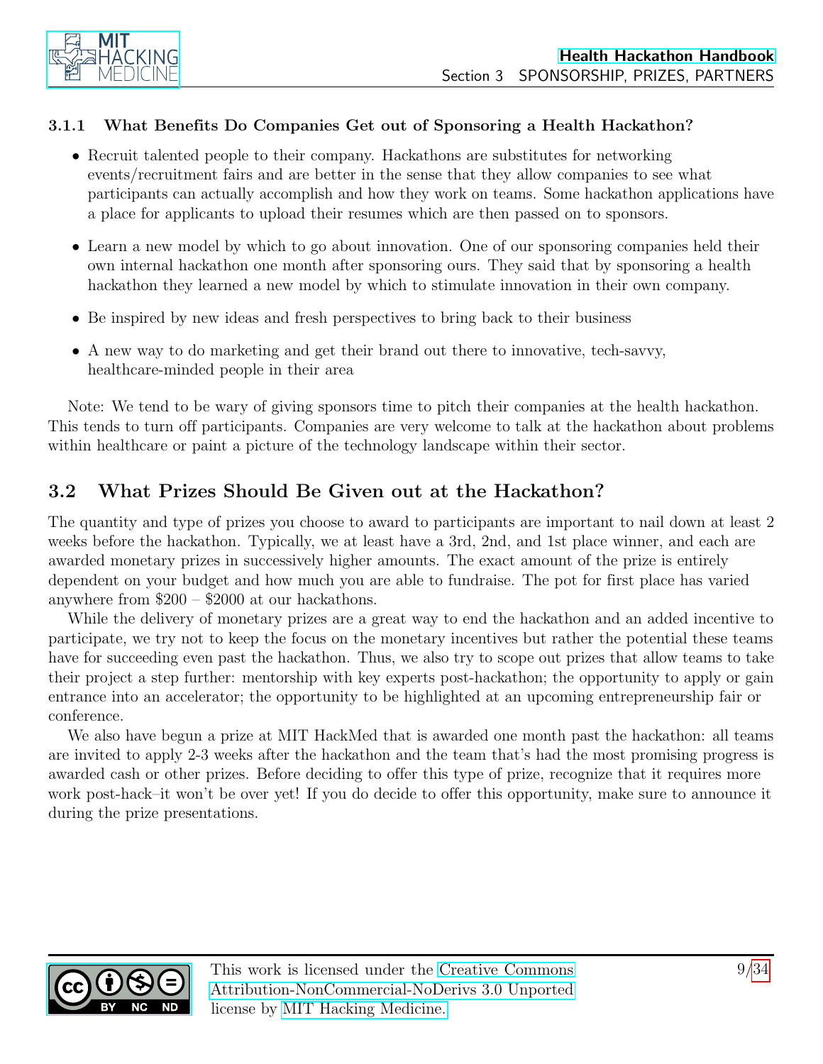

#### <span id="page-8-0"></span>3.1.1 What Benefits Do Companies Get out of Sponsoring a Health Hackathon?

- Recruit talented people to their company. Hackathons are substitutes for networking events/recruitment fairs and are better in the sense that they allow companies to see what participants can actually accomplish and how they work on teams. Some hackathon applications have a place for applicants to upload their resumes which are then passed on to sponsors.
- Learn a new model by which to go about innovation. One of our sponsoring companies held their own internal hackathon one month after sponsoring ours. They said that by sponsoring a health hackathon they learned a new model by which to stimulate innovation in their own company.
- Be inspired by new ideas and fresh perspectives to bring back to their business
- A new way to do marketing and get their brand out there to innovative, tech-savvy, healthcare-minded people in their area

Note: We tend to be wary of giving sponsors time to pitch their companies at the health hackathon. This tends to turn off participants. Companies are very welcome to talk at the hackathon about problems within healthcare or paint a picture of the technology landscape within their sector.

### <span id="page-8-1"></span>3.2 What Prizes Should Be Given out at the Hackathon?

The quantity and type of prizes you choose to award to participants are important to nail down at least 2 weeks before the hackathon. Typically, we at least have a 3rd, 2nd, and 1st place winner, and each are awarded monetary prizes in successively higher amounts. The exact amount of the prize is entirely dependent on your budget and how much you are able to fundraise. The pot for first place has varied anywhere from \$200 – \$2000 at our hackathons.

While the delivery of monetary prizes are a great way to end the hackathon and an added incentive to participate, we try not to keep the focus on the monetary incentives but rather the potential these teams have for succeeding even past the hackathon. Thus, we also try to scope out prizes that allow teams to take their project a step further: mentorship with key experts post-hackathon; the opportunity to apply or gain entrance into an accelerator; the opportunity to be highlighted at an upcoming entrepreneurship fair or conference.

We also have begun a prize at MIT HackMed that is awarded one month past the hackathon: all teams are invited to apply 2-3 weeks after the hackathon and the team that's had the most promising progress is awarded cash or other prizes. Before deciding to offer this type of prize, recognize that it requires more work post-hack–it won't be over yet! If you do decide to offer this opportunity, make sure to announce it during the prize presentations.

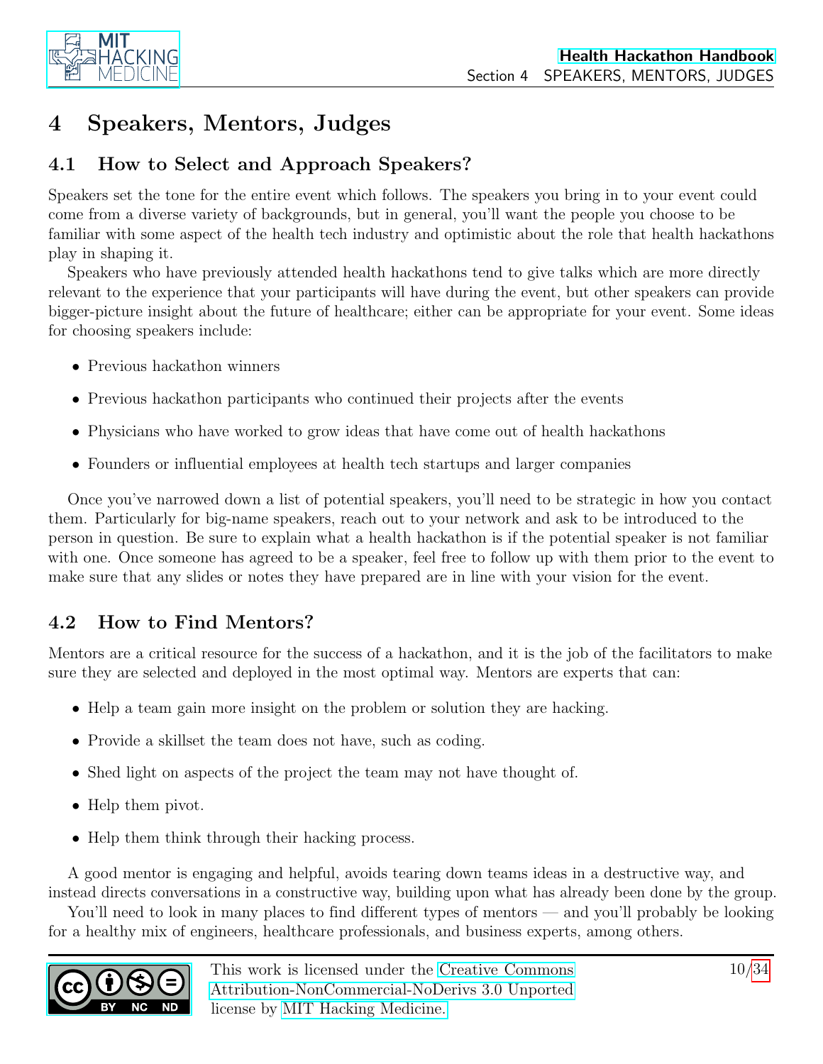

## <span id="page-9-0"></span>4 Speakers, Mentors, Judges

### <span id="page-9-1"></span>4.1 How to Select and Approach Speakers?

Speakers set the tone for the entire event which follows. The speakers you bring in to your event could come from a diverse variety of backgrounds, but in general, you'll want the people you choose to be familiar with some aspect of the health tech industry and optimistic about the role that health hackathons play in shaping it.

Speakers who have previously attended health hackathons tend to give talks which are more directly relevant to the experience that your participants will have during the event, but other speakers can provide bigger-picture insight about the future of healthcare; either can be appropriate for your event. Some ideas for choosing speakers include:

- Previous hackathon winners
- Previous hackathon participants who continued their projects after the events
- Physicians who have worked to grow ideas that have come out of health hackathons
- Founders or influential employees at health tech startups and larger companies

Once you've narrowed down a list of potential speakers, you'll need to be strategic in how you contact them. Particularly for big-name speakers, reach out to your network and ask to be introduced to the person in question. Be sure to explain what a health hackathon is if the potential speaker is not familiar with one. Once someone has agreed to be a speaker, feel free to follow up with them prior to the event to make sure that any slides or notes they have prepared are in line with your vision for the event.

### <span id="page-9-2"></span>4.2 How to Find Mentors?

Mentors are a critical resource for the success of a hackathon, and it is the job of the facilitators to make sure they are selected and deployed in the most optimal way. Mentors are experts that can:

- Help a team gain more insight on the problem or solution they are hacking.
- Provide a skillset the team does not have, such as coding.
- Shed light on aspects of the project the team may not have thought of.
- Help them pivot.
- Help them think through their hacking process.

A good mentor is engaging and helpful, avoids tearing down teams ideas in a destructive way, and instead directs conversations in a constructive way, building upon what has already been done by the group.

You'll need to look in many places to find different types of mentors — and you'll probably be looking for a healthy mix of engineers, healthcare professionals, and business experts, among others.

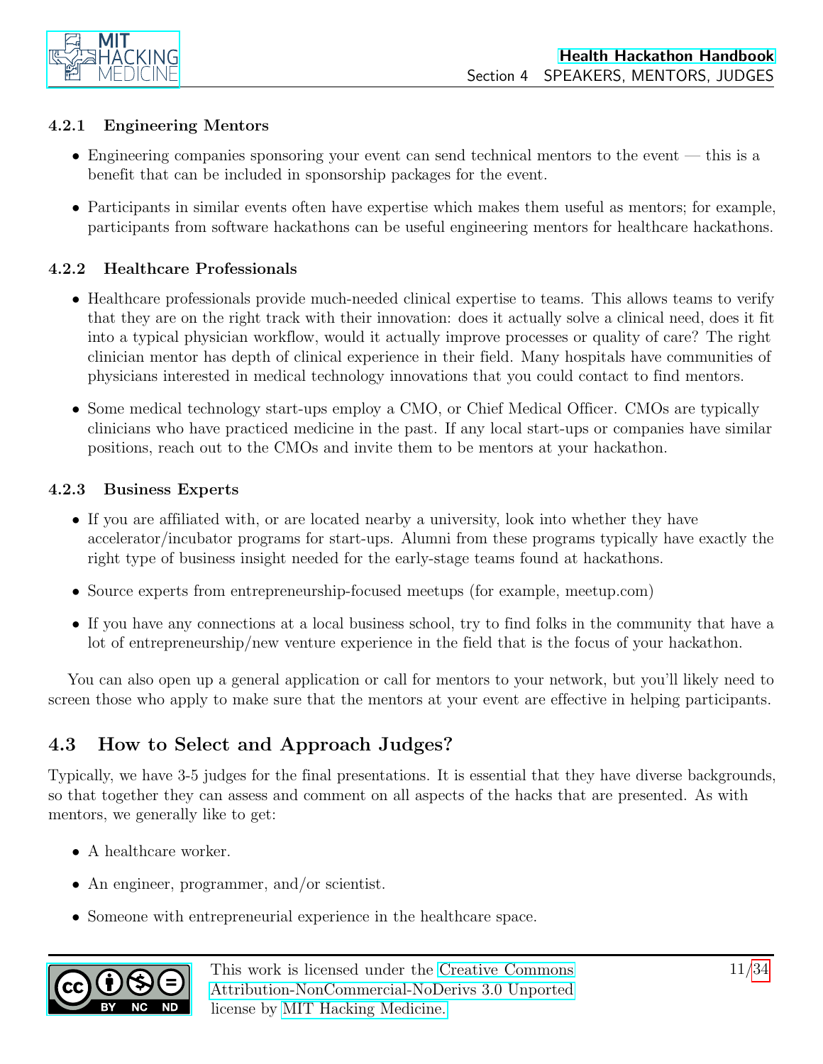

#### <span id="page-10-0"></span>4.2.1 Engineering Mentors

- Engineering companies sponsoring your event can send technical mentors to the event this is a benefit that can be included in sponsorship packages for the event.
- Participants in similar events often have expertise which makes them useful as mentors; for example, participants from software hackathons can be useful engineering mentors for healthcare hackathons.

#### <span id="page-10-1"></span>4.2.2 Healthcare Professionals

- Healthcare professionals provide much-needed clinical expertise to teams. This allows teams to verify that they are on the right track with their innovation: does it actually solve a clinical need, does it fit into a typical physician workflow, would it actually improve processes or quality of care? The right clinician mentor has depth of clinical experience in their field. Many hospitals have communities of physicians interested in medical technology innovations that you could contact to find mentors.
- Some medical technology start-ups employ a CMO, or Chief Medical Officer. CMOs are typically clinicians who have practiced medicine in the past. If any local start-ups or companies have similar positions, reach out to the CMOs and invite them to be mentors at your hackathon.

#### <span id="page-10-2"></span>4.2.3 Business Experts

- If you are affiliated with, or are located nearby a university, look into whether they have accelerator/incubator programs for start-ups. Alumni from these programs typically have exactly the right type of business insight needed for the early-stage teams found at hackathons.
- Source experts from entrepreneurship-focused meetups (for example, meetup.com)
- If you have any connections at a local business school, try to find folks in the community that have a lot of entrepreneurship/new venture experience in the field that is the focus of your hackathon.

You can also open up a general application or call for mentors to your network, but you'll likely need to screen those who apply to make sure that the mentors at your event are effective in helping participants.

### <span id="page-10-3"></span>4.3 How to Select and Approach Judges?

Typically, we have 3-5 judges for the final presentations. It is essential that they have diverse backgrounds, so that together they can assess and comment on all aspects of the hacks that are presented. As with mentors, we generally like to get:

- A healthcare worker.
- An engineer, programmer, and/or scientist.
- Someone with entrepreneurial experience in the healthcare space.

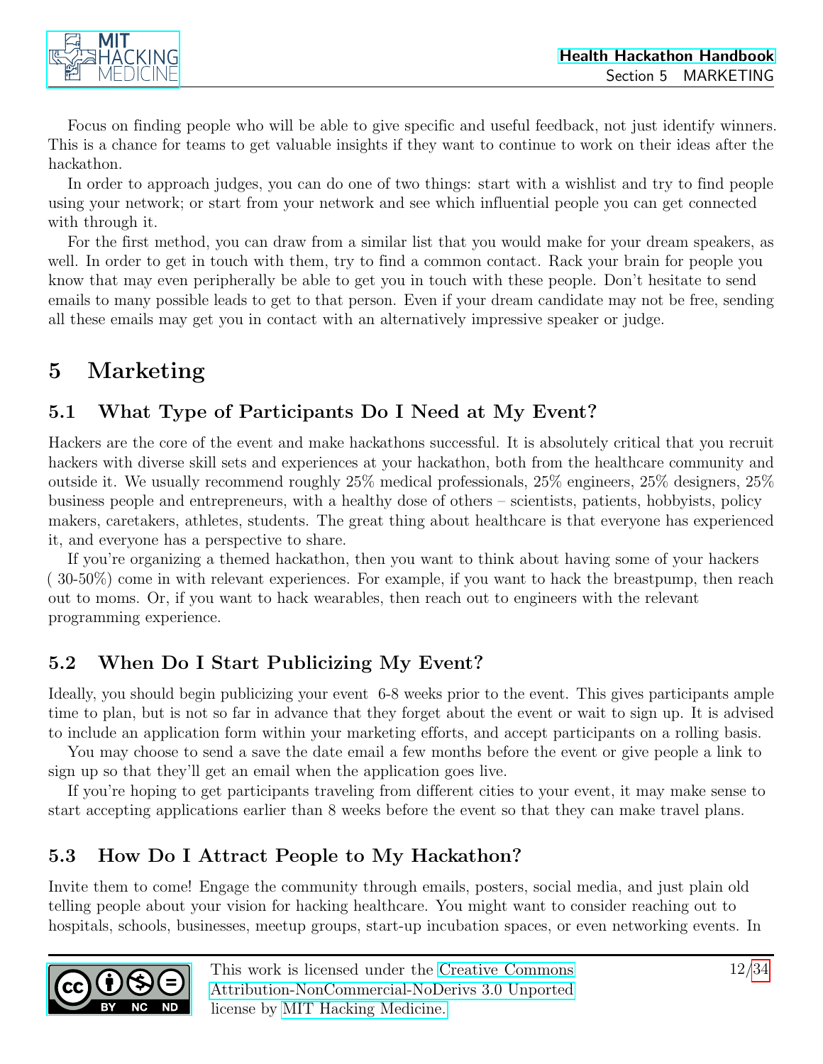

Focus on finding people who will be able to give specific and useful feedback, not just identify winners. This is a chance for teams to get valuable insights if they want to continue to work on their ideas after the hackathon.

In order to approach judges, you can do one of two things: start with a wishlist and try to find people using your network; or start from your network and see which influential people you can get connected with through it.

For the first method, you can draw from a similar list that you would make for your dream speakers, as well. In order to get in touch with them, try to find a common contact. Rack your brain for people you know that may even peripherally be able to get you in touch with these people. Don't hesitate to send emails to many possible leads to get to that person. Even if your dream candidate may not be free, sending all these emails may get you in contact with an alternatively impressive speaker or judge.

## <span id="page-11-0"></span>5 Marketing

### <span id="page-11-1"></span>5.1 What Type of Participants Do I Need at My Event?

Hackers are the core of the event and make hackathons successful. It is absolutely critical that you recruit hackers with diverse skill sets and experiences at your hackathon, both from the healthcare community and outside it. We usually recommend roughly 25% medical professionals, 25% engineers, 25% designers, 25% business people and entrepreneurs, with a healthy dose of others – scientists, patients, hobbyists, policy makers, caretakers, athletes, students. The great thing about healthcare is that everyone has experienced it, and everyone has a perspective to share.

If you're organizing a themed hackathon, then you want to think about having some of your hackers ( 30-50%) come in with relevant experiences. For example, if you want to hack the breastpump, then reach out to moms. Or, if you want to hack wearables, then reach out to engineers with the relevant programming experience.

### <span id="page-11-2"></span>5.2 When Do I Start Publicizing My Event?

Ideally, you should begin publicizing your event 6-8 weeks prior to the event. This gives participants ample time to plan, but is not so far in advance that they forget about the event or wait to sign up. It is advised to include an application form within your marketing efforts, and accept participants on a rolling basis.

You may choose to send a save the date email a few months before the event or give people a link to sign up so that they'll get an email when the application goes live.

If you're hoping to get participants traveling from different cities to your event, it may make sense to start accepting applications earlier than 8 weeks before the event so that they can make travel plans.

### <span id="page-11-3"></span>5.3 How Do I Attract People to My Hackathon?

Invite them to come! Engage the community through emails, posters, social media, and just plain old telling people about your vision for hacking healthcare. You might want to consider reaching out to hospitals, schools, businesses, meetup groups, start-up incubation spaces, or even networking events. In

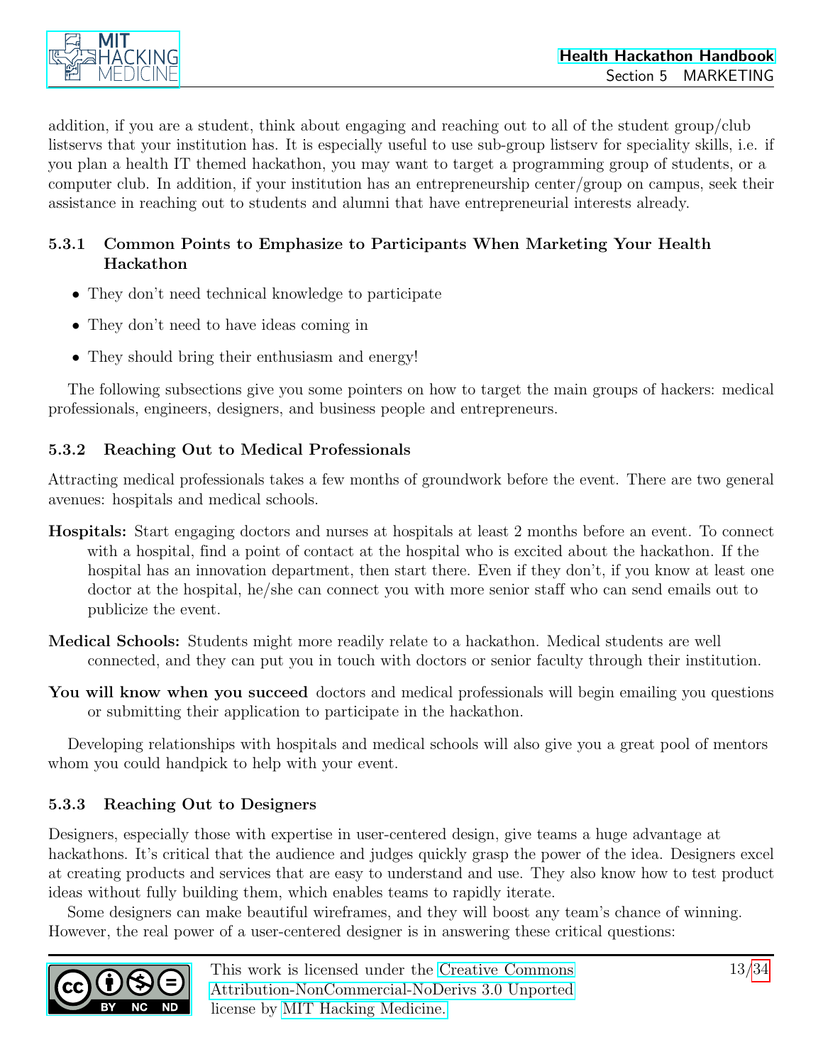

addition, if you are a student, think about engaging and reaching out to all of the student group/club listservs that your institution has. It is especially useful to use sub-group listserv for speciality skills, i.e. if you plan a health IT themed hackathon, you may want to target a programming group of students, or a computer club. In addition, if your institution has an entrepreneurship center/group on campus, seek their assistance in reaching out to students and alumni that have entrepreneurial interests already.

#### <span id="page-12-0"></span>5.3.1 Common Points to Emphasize to Participants When Marketing Your Health Hackathon

- They don't need technical knowledge to participate
- They don't need to have ideas coming in
- They should bring their enthusiasm and energy!

The following subsections give you some pointers on how to target the main groups of hackers: medical professionals, engineers, designers, and business people and entrepreneurs.

#### <span id="page-12-1"></span>5.3.2 Reaching Out to Medical Professionals

Attracting medical professionals takes a few months of groundwork before the event. There are two general avenues: hospitals and medical schools.

- Hospitals: Start engaging doctors and nurses at hospitals at least 2 months before an event. To connect with a hospital, find a point of contact at the hospital who is excited about the hackathon. If the hospital has an innovation department, then start there. Even if they don't, if you know at least one doctor at the hospital, he/she can connect you with more senior staff who can send emails out to publicize the event.
- Medical Schools: Students might more readily relate to a hackathon. Medical students are well connected, and they can put you in touch with doctors or senior faculty through their institution.
- You will know when you succeed doctors and medical professionals will begin emailing you questions or submitting their application to participate in the hackathon.

Developing relationships with hospitals and medical schools will also give you a great pool of mentors whom you could handpick to help with your event.

#### <span id="page-12-2"></span>5.3.3 Reaching Out to Designers

Designers, especially those with expertise in user-centered design, give teams a huge advantage at hackathons. It's critical that the audience and judges quickly grasp the power of the idea. Designers excel at creating products and services that are easy to understand and use. They also know how to test product ideas without fully building them, which enables teams to rapidly iterate.

Some designers can make beautiful wireframes, and they will boost any team's chance of winning. However, the real power of a user-centered designer is in answering these critical questions:

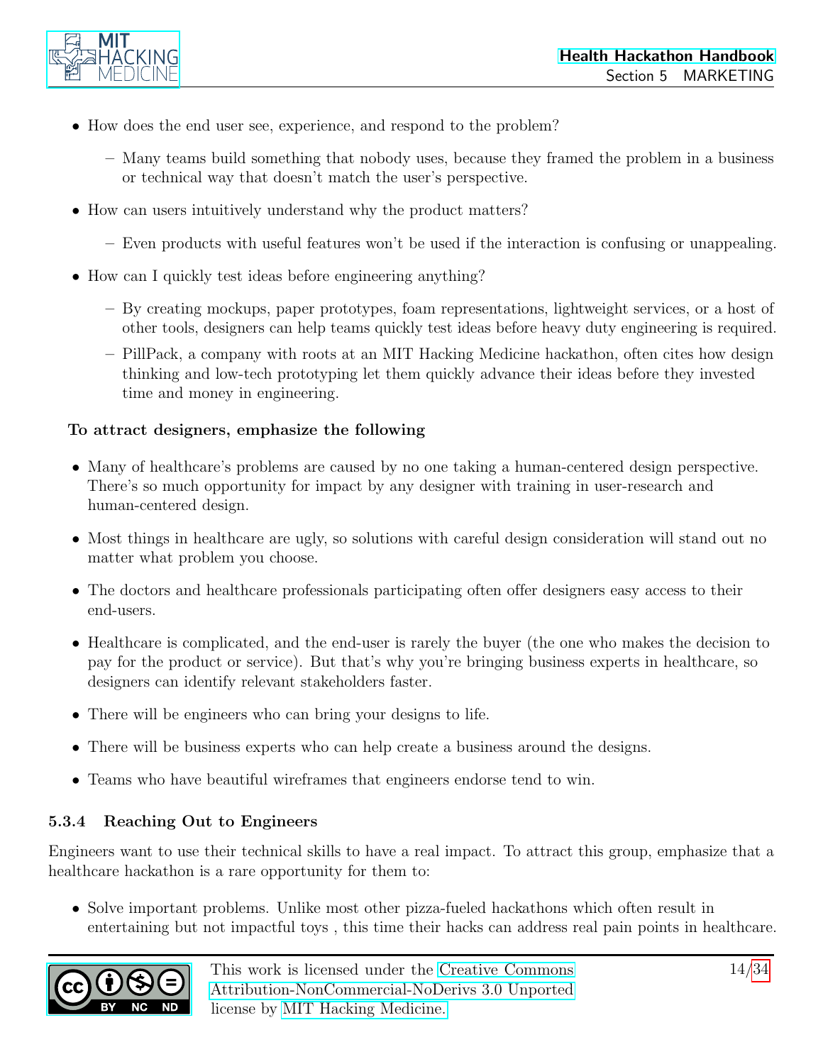

- How does the end user see, experience, and respond to the problem?
	- Many teams build something that nobody uses, because they framed the problem in a business or technical way that doesn't match the user's perspective.
- How can users intuitively understand why the product matters?
	- Even products with useful features won't be used if the interaction is confusing or unappealing.
- How can I quickly test ideas before engineering anything?
	- By creating mockups, paper prototypes, foam representations, lightweight services, or a host of other tools, designers can help teams quickly test ideas before heavy duty engineering is required.
	- PillPack, a company with roots at an MIT Hacking Medicine hackathon, often cites how design thinking and low-tech prototyping let them quickly advance their ideas before they invested time and money in engineering.

#### To attract designers, emphasize the following

- Many of healthcare's problems are caused by no one taking a human-centered design perspective. There's so much opportunity for impact by any designer with training in user-research and human-centered design.
- Most things in healthcare are ugly, so solutions with careful design consideration will stand out no matter what problem you choose.
- The doctors and healthcare professionals participating often offer designers easy access to their end-users.
- Healthcare is complicated, and the end-user is rarely the buyer (the one who makes the decision to pay for the product or service). But that's why you're bringing business experts in healthcare, so designers can identify relevant stakeholders faster.
- There will be engineers who can bring your designs to life.
- There will be business experts who can help create a business around the designs.
- Teams who have beautiful wireframes that engineers endorse tend to win.

#### <span id="page-13-0"></span>5.3.4 Reaching Out to Engineers

Engineers want to use their technical skills to have a real impact. To attract this group, emphasize that a healthcare hackathon is a rare opportunity for them to:

• Solve important problems. Unlike most other pizza-fueled hackathons which often result in entertaining but not impactful toys , this time their hacks can address real pain points in healthcare.

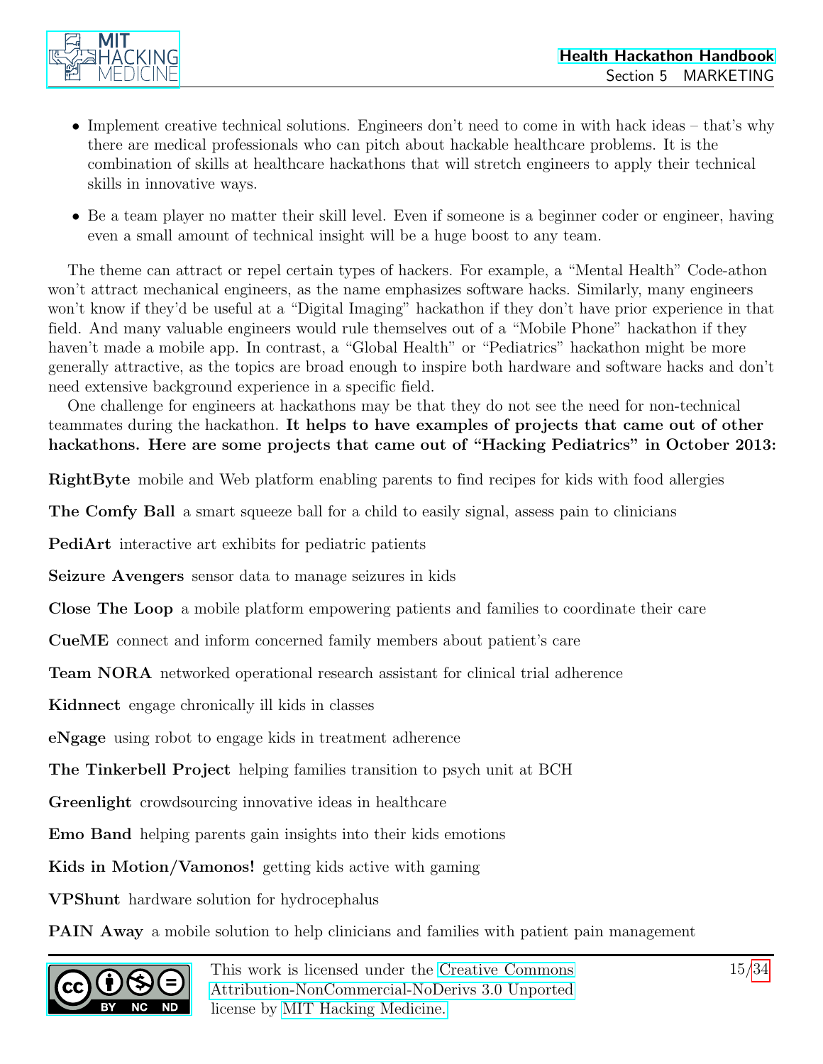

- Implement creative technical solutions. Engineers don't need to come in with hack ideas that's why there are medical professionals who can pitch about hackable healthcare problems. It is the combination of skills at healthcare hackathons that will stretch engineers to apply their technical skills in innovative ways.
- Be a team player no matter their skill level. Even if someone is a beginner coder or engineer, having even a small amount of technical insight will be a huge boost to any team.

The theme can attract or repel certain types of hackers. For example, a "Mental Health" Code-athon won't attract mechanical engineers, as the name emphasizes software hacks. Similarly, many engineers won't know if they'd be useful at a "Digital Imaging" hackathon if they don't have prior experience in that field. And many valuable engineers would rule themselves out of a "Mobile Phone" hackathon if they haven't made a mobile app. In contrast, a "Global Health" or "Pediatrics" hackathon might be more generally attractive, as the topics are broad enough to inspire both hardware and software hacks and don't need extensive background experience in a specific field.

One challenge for engineers at hackathons may be that they do not see the need for non-technical teammates during the hackathon. It helps to have examples of projects that came out of other hackathons. Here are some projects that came out of "Hacking Pediatrics" in October 2013:

RightByte mobile and Web platform enabling parents to find recipes for kids with food allergies

The Comfy Ball a smart squeeze ball for a child to easily signal, assess pain to clinicians

PediArt interactive art exhibits for pediatric patients

Seizure Avengers sensor data to manage seizures in kids

Close The Loop a mobile platform empowering patients and families to coordinate their care

CueME connect and inform concerned family members about patient's care

Team NORA networked operational research assistant for clinical trial adherence

Kidnnect engage chronically ill kids in classes

eNgage using robot to engage kids in treatment adherence

The Tinkerbell Project helping families transition to psych unit at BCH

Greenlight crowdsourcing innovative ideas in healthcare

Emo Band helping parents gain insights into their kids emotions

Kids in Motion/Vamonos! getting kids active with gaming

VPShunt hardware solution for hydrocephalus

PAIN Away a mobile solution to help clinicians and families with patient pain management

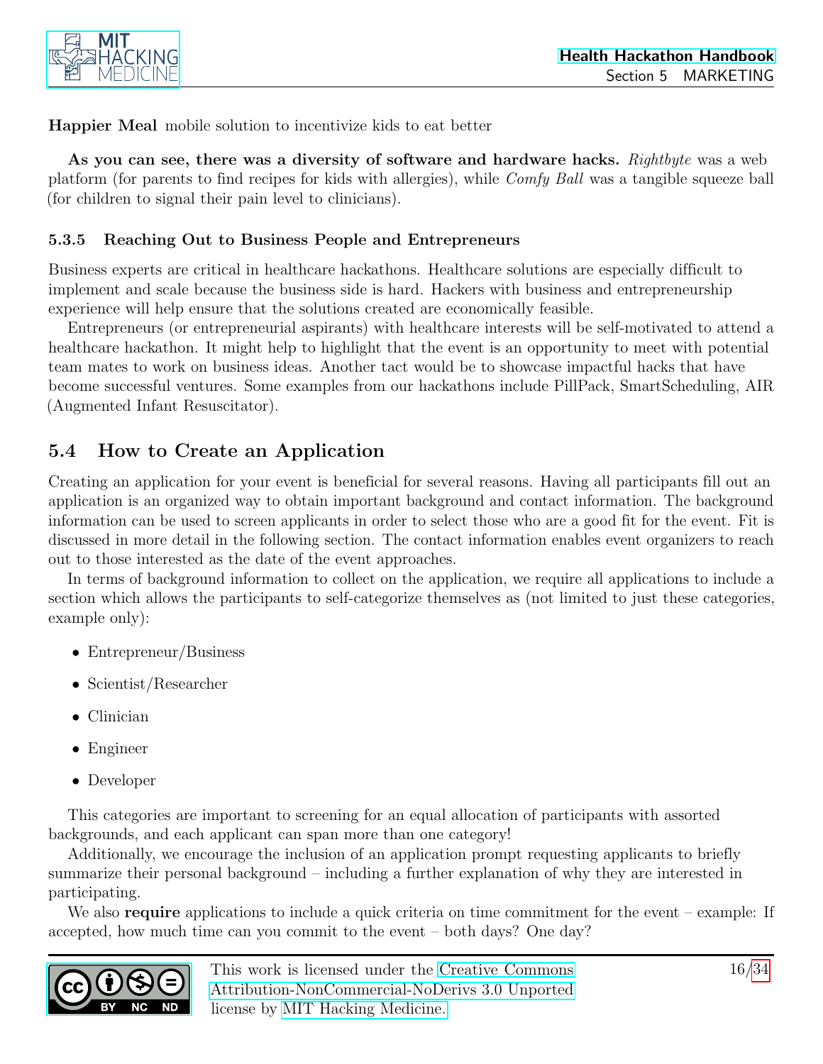

Happier Meal mobile solution to incentivize kids to eat better

As you can see, there was a diversity of software and hardware hacks. Rightbyte was a web platform (for parents to find recipes for kids with allergies), while Comfy Ball was a tangible squeeze ball (for children to signal their pain level to clinicians).

#### <span id="page-15-0"></span>5.3.5 Reaching Out to Business People and Entrepreneurs

Business experts are critical in healthcare hackathons. Healthcare solutions are especially difficult to implement and scale because the business side is hard. Hackers with business and entrepreneurship experience will help ensure that the solutions created are economically feasible.

Entrepreneurs (or entrepreneurial aspirants) with healthcare interests will be self-motivated to attend a healthcare hackathon. It might help to highlight that the event is an opportunity to meet with potential team mates to work on business ideas. Another tact would be to showcase impactful hacks that have become successful ventures. Some examples from our hackathons include PillPack, SmartScheduling, AIR (Augmented Infant Resuscitator).

### <span id="page-15-1"></span>5.4 How to Create an Application

Creating an application for your event is beneficial for several reasons. Having all participants fill out an application is an organized way to obtain important background and contact information. The background information can be used to screen applicants in order to select those who are a good fit for the event. Fit is discussed in more detail in the following section. The contact information enables event organizers to reach out to those interested as the date of the event approaches.

In terms of background information to collect on the application, we require all applications to include a section which allows the participants to self-categorize themselves as (not limited to just these categories, example only):

- Entrepreneur/Business
- Scientist/Researcher
- Clinician
- Engineer
- Developer

This categories are important to screening for an equal allocation of participants with assorted backgrounds, and each applicant can span more than one category!

Additionally, we encourage the inclusion of an application prompt requesting applicants to briefly summarize their personal background – including a further explanation of why they are interested in participating.

We also **require** applications to include a quick criteria on time commitment for the event – example: If accepted, how much time can you commit to the event – both days? One day?

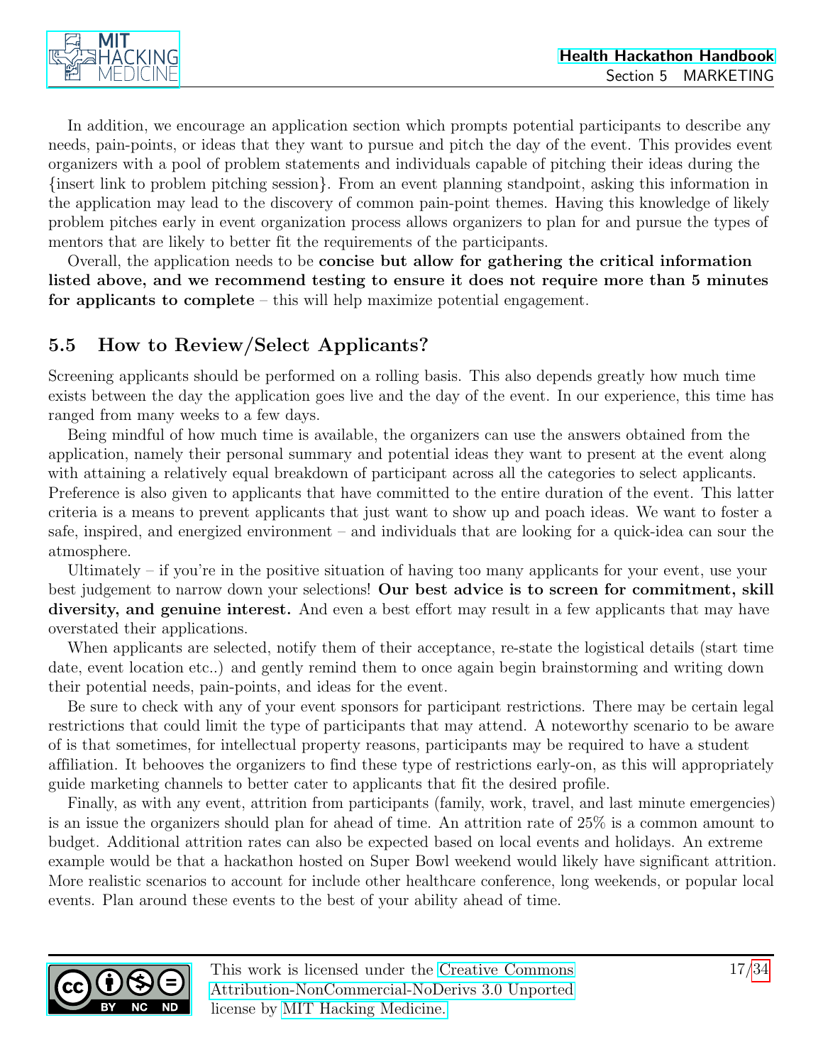

In addition, we encourage an application section which prompts potential participants to describe any needs, pain-points, or ideas that they want to pursue and pitch the day of the event. This provides event organizers with a pool of problem statements and individuals capable of pitching their ideas during the {insert link to problem pitching session}. From an event planning standpoint, asking this information in the application may lead to the discovery of common pain-point themes. Having this knowledge of likely problem pitches early in event organization process allows organizers to plan for and pursue the types of mentors that are likely to better fit the requirements of the participants.

Overall, the application needs to be concise but allow for gathering the critical information listed above, and we recommend testing to ensure it does not require more than 5 minutes for applicants to complete – this will help maximize potential engagement.

### <span id="page-16-0"></span>5.5 How to Review/Select Applicants?

Screening applicants should be performed on a rolling basis. This also depends greatly how much time exists between the day the application goes live and the day of the event. In our experience, this time has ranged from many weeks to a few days.

Being mindful of how much time is available, the organizers can use the answers obtained from the application, namely their personal summary and potential ideas they want to present at the event along with attaining a relatively equal breakdown of participant across all the categories to select applicants. Preference is also given to applicants that have committed to the entire duration of the event. This latter criteria is a means to prevent applicants that just want to show up and poach ideas. We want to foster a safe, inspired, and energized environment – and individuals that are looking for a quick-idea can sour the atmosphere.

Ultimately – if you're in the positive situation of having too many applicants for your event, use your best judgement to narrow down your selections! Our best advice is to screen for commitment, skill diversity, and genuine interest. And even a best effort may result in a few applicants that may have overstated their applications.

When applicants are selected, notify them of their acceptance, re-state the logistical details (start time date, event location etc..) and gently remind them to once again begin brainstorming and writing down their potential needs, pain-points, and ideas for the event.

Be sure to check with any of your event sponsors for participant restrictions. There may be certain legal restrictions that could limit the type of participants that may attend. A noteworthy scenario to be aware of is that sometimes, for intellectual property reasons, participants may be required to have a student affiliation. It behooves the organizers to find these type of restrictions early-on, as this will appropriately guide marketing channels to better cater to applicants that fit the desired profile.

Finally, as with any event, attrition from participants (family, work, travel, and last minute emergencies) is an issue the organizers should plan for ahead of time. An attrition rate of 25% is a common amount to budget. Additional attrition rates can also be expected based on local events and holidays. An extreme example would be that a hackathon hosted on Super Bowl weekend would likely have significant attrition. More realistic scenarios to account for include other healthcare conference, long weekends, or popular local events. Plan around these events to the best of your ability ahead of time.

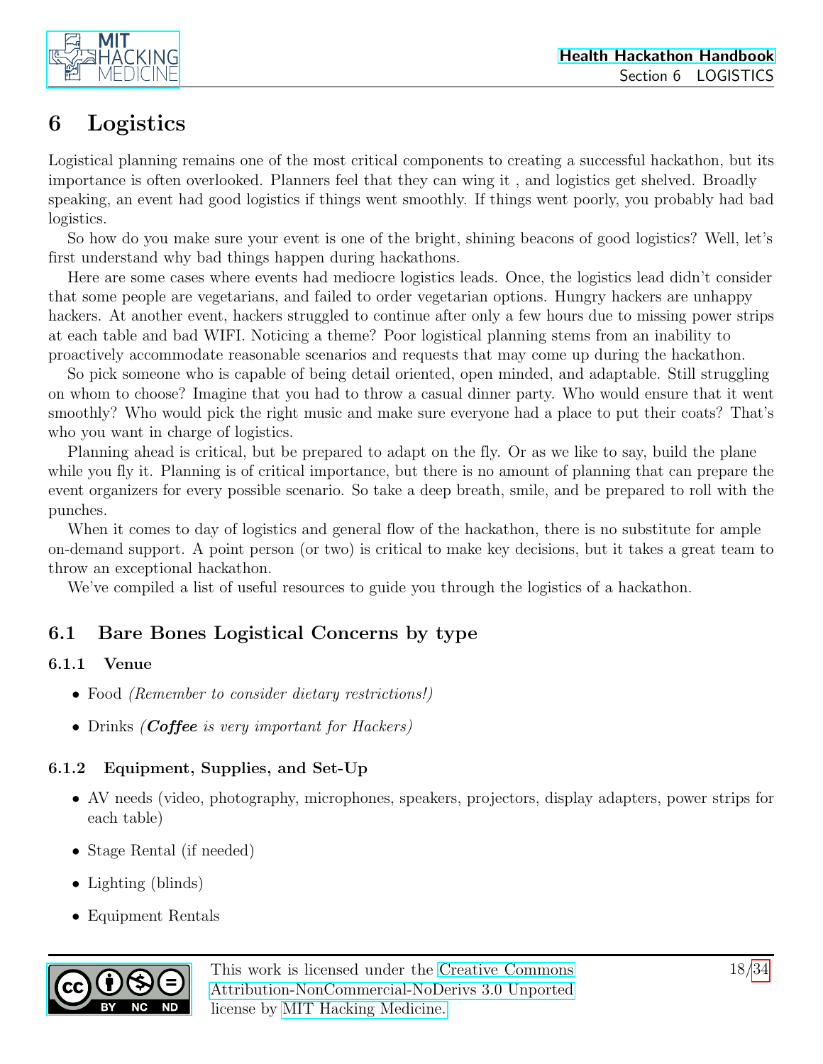



## <span id="page-17-0"></span>6 Logistics

Logistical planning remains one of the most critical components to creating a successful hackathon, but its importance is often overlooked. Planners feel that they can wing it , and logistics get shelved. Broadly speaking, an event had good logistics if things went smoothly. If things went poorly, you probably had bad logistics.

So how do you make sure your event is one of the bright, shining beacons of good logistics? Well, let's first understand why bad things happen during hackathons.

Here are some cases where events had mediocre logistics leads. Once, the logistics lead didn't consider that some people are vegetarians, and failed to order vegetarian options. Hungry hackers are unhappy hackers. At another event, hackers struggled to continue after only a few hours due to missing power strips at each table and bad WIFI. Noticing a theme? Poor logistical planning stems from an inability to proactively accommodate reasonable scenarios and requests that may come up during the hackathon.

So pick someone who is capable of being detail oriented, open minded, and adaptable. Still struggling on whom to choose? Imagine that you had to throw a casual dinner party. Who would ensure that it went smoothly? Who would pick the right music and make sure everyone had a place to put their coats? That's who you want in charge of logistics.

Planning ahead is critical, but be prepared to adapt on the fly. Or as we like to say, build the plane while you fly it. Planning is of critical importance, but there is no amount of planning that can prepare the event organizers for every possible scenario. So take a deep breath, smile, and be prepared to roll with the punches.

When it comes to day of logistics and general flow of the hackathon, there is no substitute for ample on-demand support. A point person (or two) is critical to make key decisions, but it takes a great team to throw an exceptional hackathon.

We've compiled a list of useful resources to guide you through the logistics of a hackathon.

### <span id="page-17-1"></span>6.1 Bare Bones Logistical Concerns by type

#### <span id="page-17-2"></span>6.1.1 Venue

- Food *(Remember to consider dietary restrictions!)*
- Drinks *(Coffee is very important for Hackers)*

#### <span id="page-17-3"></span>6.1.2 Equipment, Supplies, and Set-Up

- AV needs (video, photography, microphones, speakers, projectors, display adapters, power strips for each table)
- Stage Rental (if needed)
- Lighting (blinds)
- Equipment Rentals

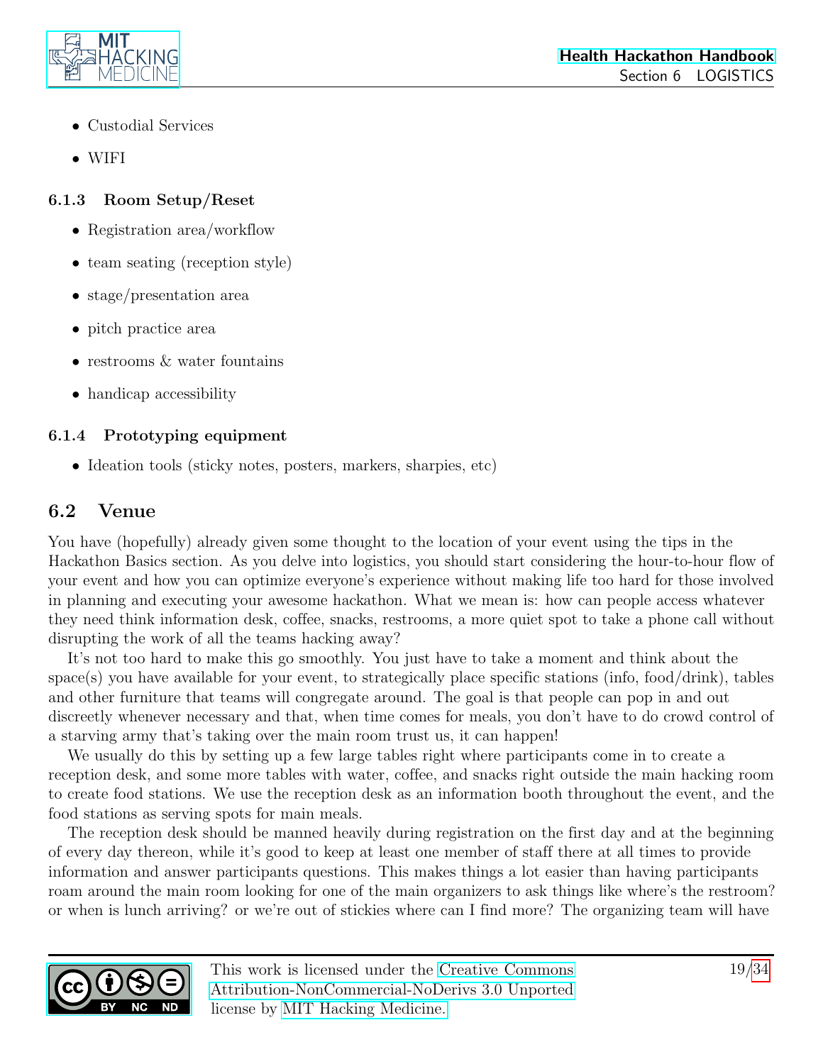

- Custodial Services
- WIFI

#### <span id="page-18-0"></span>6.1.3 Room Setup/Reset

- Registration area/workflow
- team seating (reception style)
- stage/presentation area
- pitch practice area
- restrooms  $\&$  water fountains
- handicap accessibility

### <span id="page-18-1"></span>6.1.4 Prototyping equipment

• Ideation tools (sticky notes, posters, markers, sharpies, etc)

### <span id="page-18-2"></span>6.2 Venue

You have (hopefully) already given some thought to the location of your event using the tips in the Hackathon Basics section. As you delve into logistics, you should start considering the hour-to-hour flow of your event and how you can optimize everyone's experience without making life too hard for those involved in planning and executing your awesome hackathon. What we mean is: how can people access whatever they need think information desk, coffee, snacks, restrooms, a more quiet spot to take a phone call without disrupting the work of all the teams hacking away?

It's not too hard to make this go smoothly. You just have to take a moment and think about the space(s) you have available for your event, to strategically place specific stations (info, food/drink), tables and other furniture that teams will congregate around. The goal is that people can pop in and out discreetly whenever necessary and that, when time comes for meals, you don't have to do crowd control of a starving army that's taking over the main room trust us, it can happen!

We usually do this by setting up a few large tables right where participants come in to create a reception desk, and some more tables with water, coffee, and snacks right outside the main hacking room to create food stations. We use the reception desk as an information booth throughout the event, and the food stations as serving spots for main meals.

The reception desk should be manned heavily during registration on the first day and at the beginning of every day thereon, while it's good to keep at least one member of staff there at all times to provide information and answer participants questions. This makes things a lot easier than having participants roam around the main room looking for one of the main organizers to ask things like where's the restroom? or when is lunch arriving? or we're out of stickies where can I find more? The organizing team will have

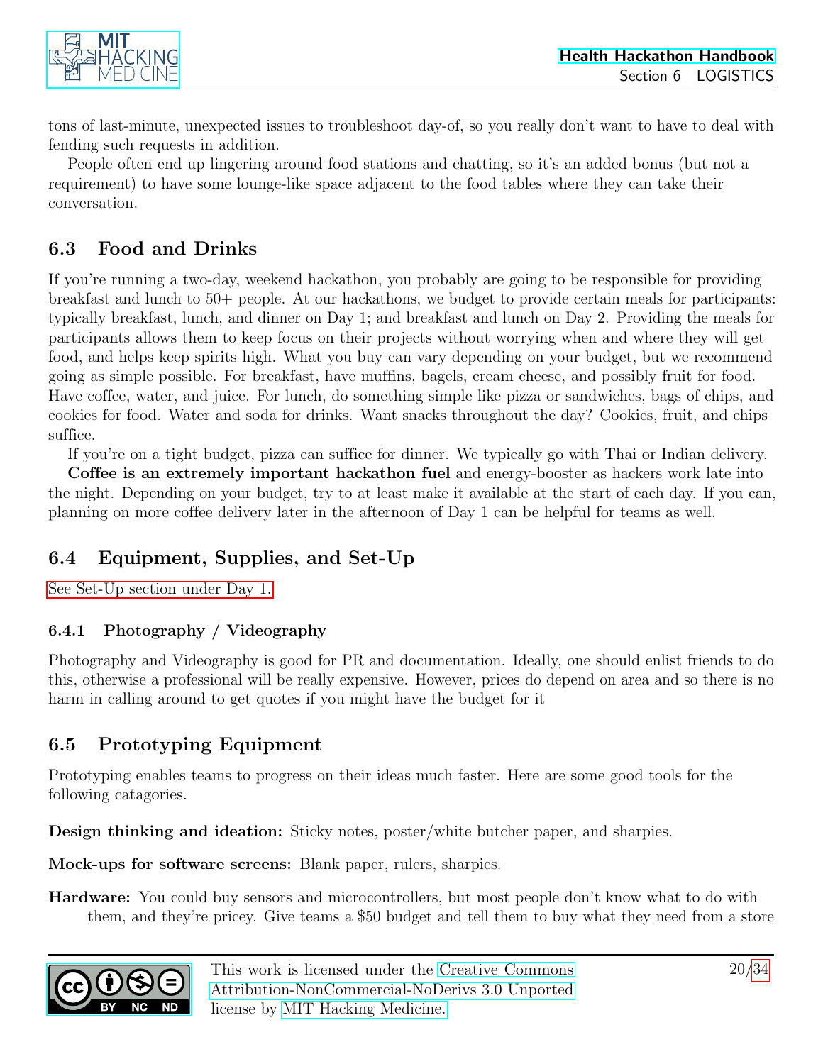

tons of last-minute, unexpected issues to troubleshoot day-of, so you really don't want to have to deal with fending such requests in addition.

People often end up lingering around food stations and chatting, so it's an added bonus (but not a requirement) to have some lounge-like space adjacent to the food tables where they can take their conversation.

### <span id="page-19-0"></span>6.3 Food and Drinks

If you're running a two-day, weekend hackathon, you probably are going to be responsible for providing breakfast and lunch to 50+ people. At our hackathons, we budget to provide certain meals for participants: typically breakfast, lunch, and dinner on Day 1; and breakfast and lunch on Day 2. Providing the meals for participants allows them to keep focus on their projects without worrying when and where they will get food, and helps keep spirits high. What you buy can vary depending on your budget, but we recommend going as simple possible. For breakfast, have muffins, bagels, cream cheese, and possibly fruit for food. Have coffee, water, and juice. For lunch, do something simple like pizza or sandwiches, bags of chips, and cookies for food. Water and soda for drinks. Want snacks throughout the day? Cookies, fruit, and chips suffice.

If you're on a tight budget, pizza can suffice for dinner. We typically go with Thai or Indian delivery.

Coffee is an extremely important hackathon fuel and energy-booster as hackers work late into the night. Depending on your budget, try to at least make it available at the start of each day. If you can, planning on more coffee delivery later in the afternoon of Day 1 can be helpful for teams as well.

### <span id="page-19-1"></span>6.4 Equipment, Supplies, and Set-Up

[See Set-Up section under Day 1.](#page-21-0)

#### <span id="page-19-2"></span>6.4.1 Photography / Videography

Photography and Videography is good for PR and documentation. Ideally, one should enlist friends to do this, otherwise a professional will be really expensive. However, prices do depend on area and so there is no harm in calling around to get quotes if you might have the budget for it

### <span id="page-19-3"></span>6.5 Prototyping Equipment

Prototyping enables teams to progress on their ideas much faster. Here are some good tools for the following catagories.

Design thinking and ideation: Sticky notes, poster/white butcher paper, and sharpies.

Mock-ups for software screens: Blank paper, rulers, sharpies.

Hardware: You could buy sensors and microcontrollers, but most people don't know what to do with them, and they're pricey. Give teams a \$50 budget and tell them to buy what they need from a store

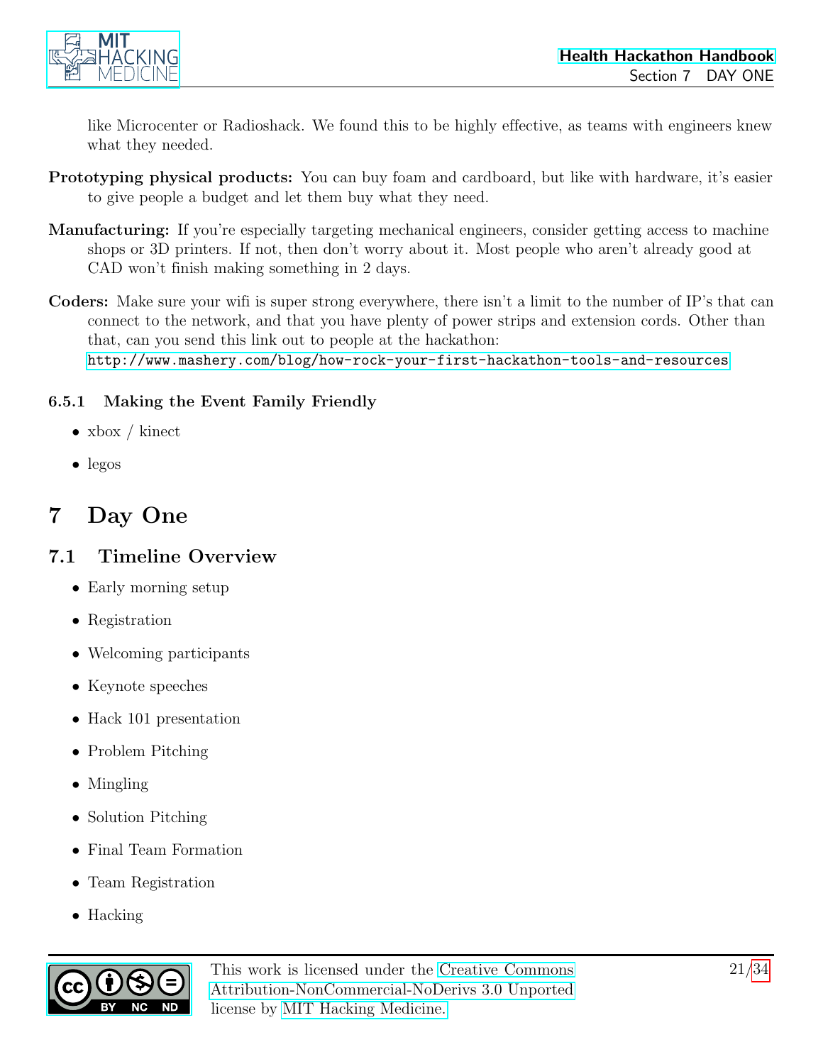

like Microcenter or Radioshack. We found this to be highly effective, as teams with engineers knew what they needed.

- Prototyping physical products: You can buy foam and cardboard, but like with hardware, it's easier to give people a budget and let them buy what they need.
- Manufacturing: If you're especially targeting mechanical engineers, consider getting access to machine shops or 3D printers. If not, then don't worry about it. Most people who aren't already good at CAD won't finish making something in 2 days.
- Coders: Make sure your wifi is super strong everywhere, there isn't a limit to the number of IP's that can connect to the network, and that you have plenty of power strips and extension cords. Other than that, can you send this link out to people at the hackathon: <http://www.mashery.com/blog/how-rock-your-first-hackathon-tools-and-resources>

#### <span id="page-20-0"></span>6.5.1 Making the Event Family Friendly

- xbox / kinect
- legos

## <span id="page-20-1"></span>7 Day One

#### <span id="page-20-2"></span>7.1 Timeline Overview

- Early morning setup
- Registration
- Welcoming participants
- Keynote speeches
- Hack 101 presentation
- Problem Pitching
- Mingling
- Solution Pitching
- Final Team Formation
- Team Registration
- Hacking

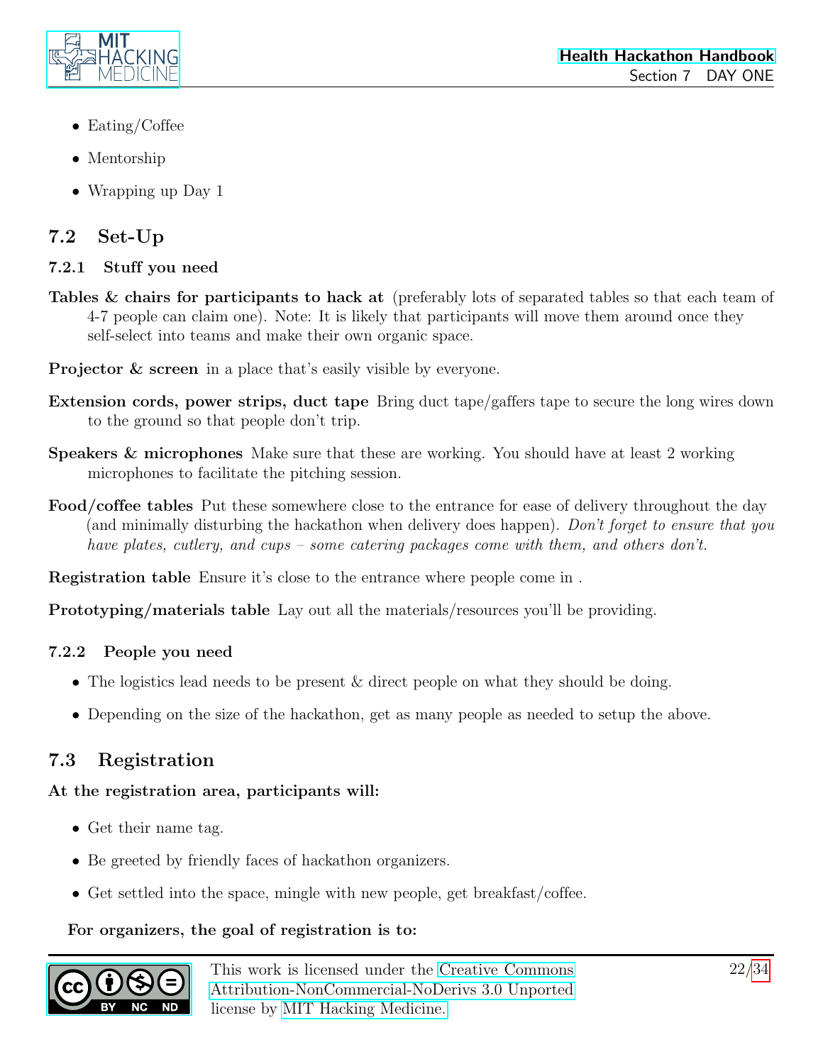

- Eating/Coffee
- Mentorship
- Wrapping up Day 1

### <span id="page-21-0"></span>7.2 Set-Up

#### <span id="page-21-1"></span>7.2.1 Stuff you need

- Tables & chairs for participants to hack at (preferably lots of separated tables so that each team of 4-7 people can claim one). Note: It is likely that participants will move them around once they self-select into teams and make their own organic space.
- Projector & screen in a place that's easily visible by everyone.
- Extension cords, power strips, duct tape Bring duct tape/gaffers tape to secure the long wires down to the ground so that people don't trip.
- Speakers & microphones Make sure that these are working. You should have at least 2 working microphones to facilitate the pitching session.
- Food/coffee tables Put these somewhere close to the entrance for ease of delivery throughout the day (and minimally disturbing the hackathon when delivery does happen). Don't forget to ensure that you have plates, cutlery, and cups – some catering packages come with them, and others don't.

Registration table Ensure it's close to the entrance where people come in .

Prototyping/materials table Lay out all the materials/resources you'll be providing.

#### <span id="page-21-2"></span>7.2.2 People you need

- The logistics lead needs to be present & direct people on what they should be doing.
- Depending on the size of the hackathon, get as many people as needed to setup the above.

### <span id="page-21-3"></span>7.3 Registration

#### At the registration area, participants will:

- Get their name tag.
- Be greeted by friendly faces of hackathon organizers.
- Get settled into the space, mingle with new people, get breakfast/coffee.

#### For organizers, the goal of registration is to:

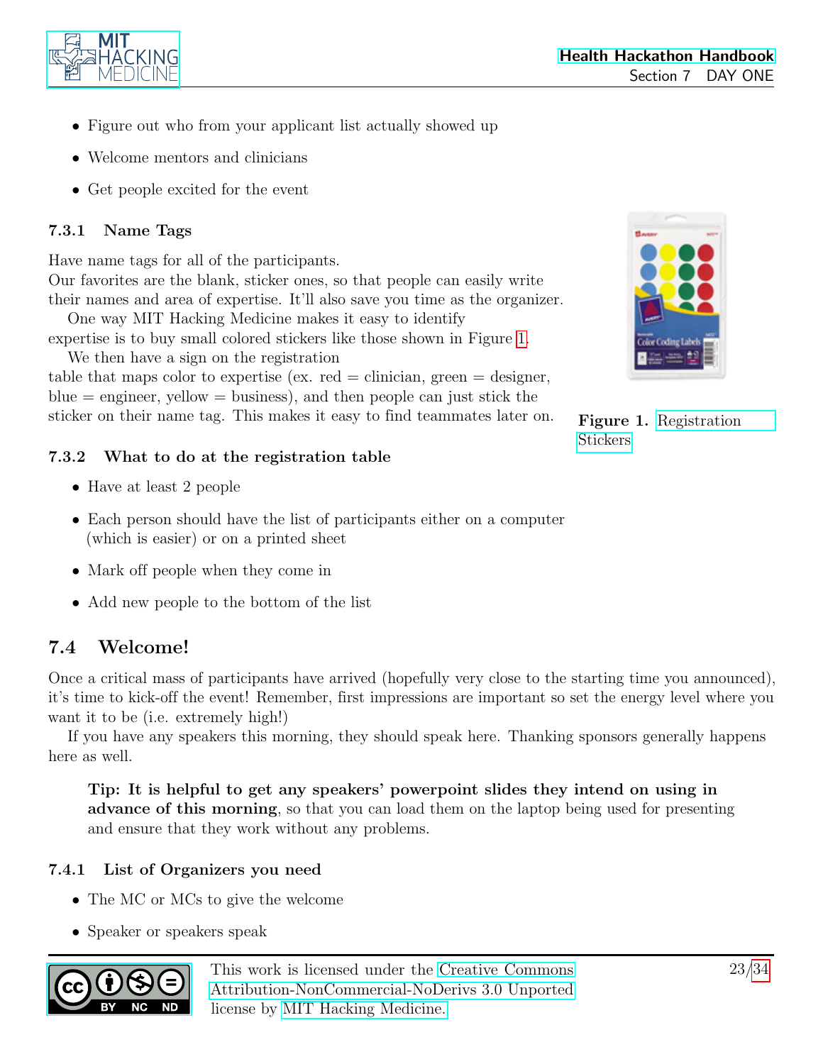

- Figure out who from your applicant list actually showed up
- Welcome mentors and clinicians
- Get people excited for the event

#### <span id="page-22-0"></span>7.3.1 Name Tags

Have name tags for all of the participants. Our favorites are the blank, sticker ones, so that people can easily write

their names and area of expertise. It'll also save you time as the organizer. One way MIT Hacking Medicine makes it easy to identify expertise is to buy small colored stickers like those shown in Figure [1.](#page-22-4)

We then have a sign on the registration table that maps color to expertise (ex. red  $=$  clinician, green  $=$  designer,  $blue = engineer$ , yellow  $= business$ ), and then people can just stick the sticker on their name tag. This makes it easy to find teammates later on.

<span id="page-22-4"></span>

Figure 1. [Registration](http://www.amazon.com/Avery-Removable-Coding-Labels-Inches/dp/B000BMBU9C) [Stickers](http://www.amazon.com/Avery-Removable-Coding-Labels-Inches/dp/B000BMBU9C)

#### <span id="page-22-1"></span>7.3.2 What to do at the registration table

- Have at least 2 people
- Each person should have the list of participants either on a computer (which is easier) or on a printed sheet
- Mark off people when they come in
- Add new people to the bottom of the list

### <span id="page-22-2"></span>7.4 Welcome!

Once a critical mass of participants have arrived (hopefully very close to the starting time you announced), it's time to kick-off the event! Remember, first impressions are important so set the energy level where you want it to be (i.e. extremely high!)

If you have any speakers this morning, they should speak here. Thanking sponsors generally happens here as well.

Tip: It is helpful to get any speakers' powerpoint slides they intend on using in advance of this morning, so that you can load them on the laptop being used for presenting and ensure that they work without any problems.

#### <span id="page-22-3"></span>7.4.1 List of Organizers you need

- The MC or MCs to give the welcome
- Speaker or speakers speak

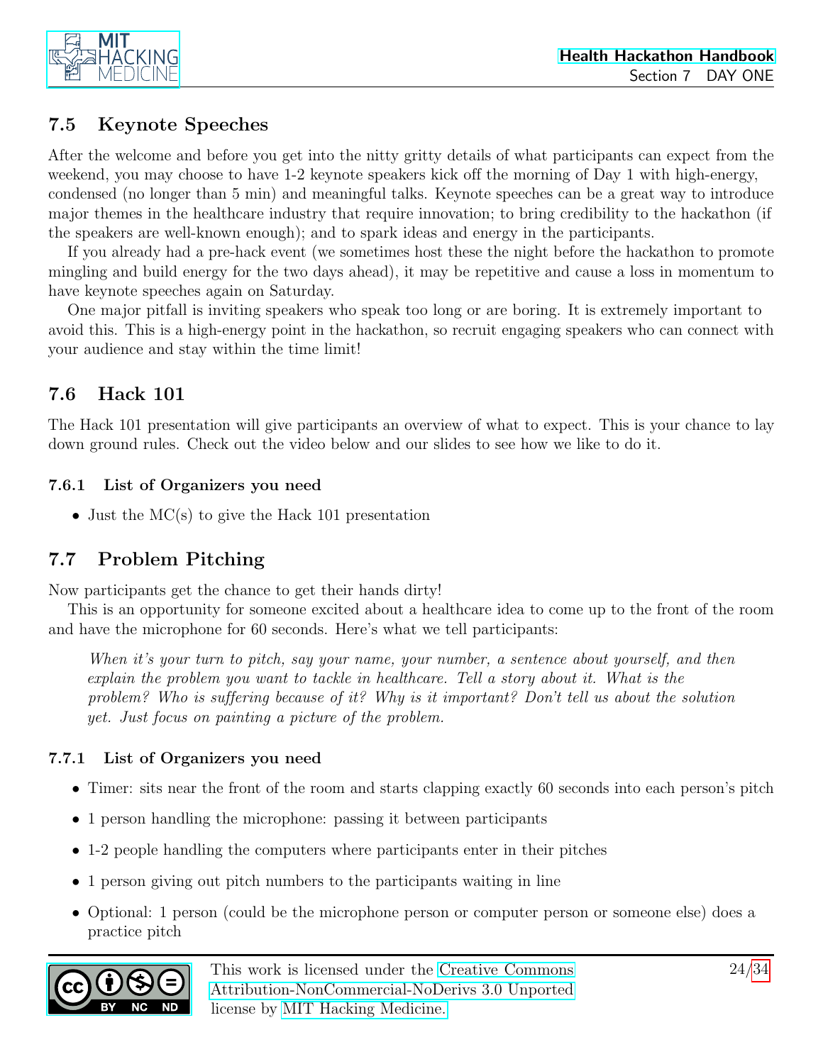

### <span id="page-23-0"></span>7.5 Keynote Speeches

After the welcome and before you get into the nitty gritty details of what participants can expect from the weekend, you may choose to have 1-2 keynote speakers kick off the morning of Day 1 with high-energy, condensed (no longer than 5 min) and meaningful talks. Keynote speeches can be a great way to introduce major themes in the healthcare industry that require innovation; to bring credibility to the hackathon (if the speakers are well-known enough); and to spark ideas and energy in the participants.

If you already had a pre-hack event (we sometimes host these the night before the hackathon to promote mingling and build energy for the two days ahead), it may be repetitive and cause a loss in momentum to have keynote speeches again on Saturday.

One major pitfall is inviting speakers who speak too long or are boring. It is extremely important to avoid this. This is a high-energy point in the hackathon, so recruit engaging speakers who can connect with your audience and stay within the time limit!

### <span id="page-23-1"></span>7.6 Hack 101

The Hack 101 presentation will give participants an overview of what to expect. This is your chance to lay down ground rules. Check out the video below and our slides to see how we like to do it.

#### <span id="page-23-2"></span>7.6.1 List of Organizers you need

• Just the MC(s) to give the Hack 101 presentation

### <span id="page-23-3"></span>7.7 Problem Pitching

Now participants get the chance to get their hands dirty!

This is an opportunity for someone excited about a healthcare idea to come up to the front of the room and have the microphone for 60 seconds. Here's what we tell participants:

When it's your turn to pitch, say your name, your number, a sentence about yourself, and then explain the problem you want to tackle in healthcare. Tell a story about it. What is the problem? Who is suffering because of it? Why is it important? Don't tell us about the solution yet. Just focus on painting a picture of the problem.

#### <span id="page-23-4"></span>7.7.1 List of Organizers you need

- Timer: sits near the front of the room and starts clapping exactly 60 seconds into each person's pitch
- 1 person handling the microphone: passing it between participants
- 1-2 people handling the computers where participants enter in their pitches
- 1 person giving out pitch numbers to the participants waiting in line
- Optional: 1 person (could be the microphone person or computer person or someone else) does a practice pitch

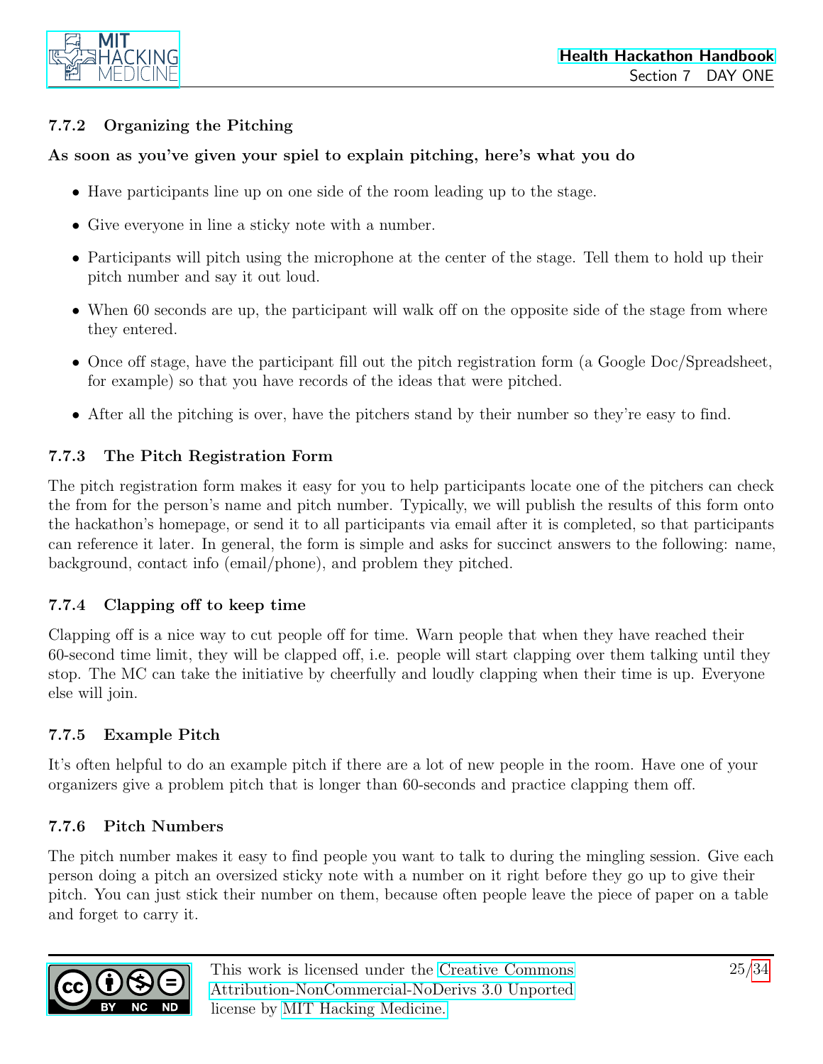

#### <span id="page-24-0"></span>7.7.2 Organizing the Pitching

#### As soon as you've given your spiel to explain pitching, here's what you do

- Have participants line up on one side of the room leading up to the stage.
- Give everyone in line a sticky note with a number.
- Participants will pitch using the microphone at the center of the stage. Tell them to hold up their pitch number and say it out loud.
- When 60 seconds are up, the participant will walk off on the opposite side of the stage from where they entered.
- Once off stage, have the participant fill out the pitch registration form (a Google Doc/Spreadsheet, for example) so that you have records of the ideas that were pitched.
- After all the pitching is over, have the pitchers stand by their number so they're easy to find.

#### <span id="page-24-1"></span>7.7.3 The Pitch Registration Form

The pitch registration form makes it easy for you to help participants locate one of the pitchers can check the from for the person's name and pitch number. Typically, we will publish the results of this form onto the hackathon's homepage, or send it to all participants via email after it is completed, so that participants can reference it later. In general, the form is simple and asks for succinct answers to the following: name, background, contact info (email/phone), and problem they pitched.

#### <span id="page-24-2"></span>7.7.4 Clapping off to keep time

Clapping off is a nice way to cut people off for time. Warn people that when they have reached their 60-second time limit, they will be clapped off, i.e. people will start clapping over them talking until they stop. The MC can take the initiative by cheerfully and loudly clapping when their time is up. Everyone else will join.

#### <span id="page-24-3"></span>7.7.5 Example Pitch

It's often helpful to do an example pitch if there are a lot of new people in the room. Have one of your organizers give a problem pitch that is longer than 60-seconds and practice clapping them off.

#### <span id="page-24-4"></span>7.7.6 Pitch Numbers

The pitch number makes it easy to find people you want to talk to during the mingling session. Give each person doing a pitch an oversized sticky note with a number on it right before they go up to give their pitch. You can just stick their number on them, because often people leave the piece of paper on a table and forget to carry it.

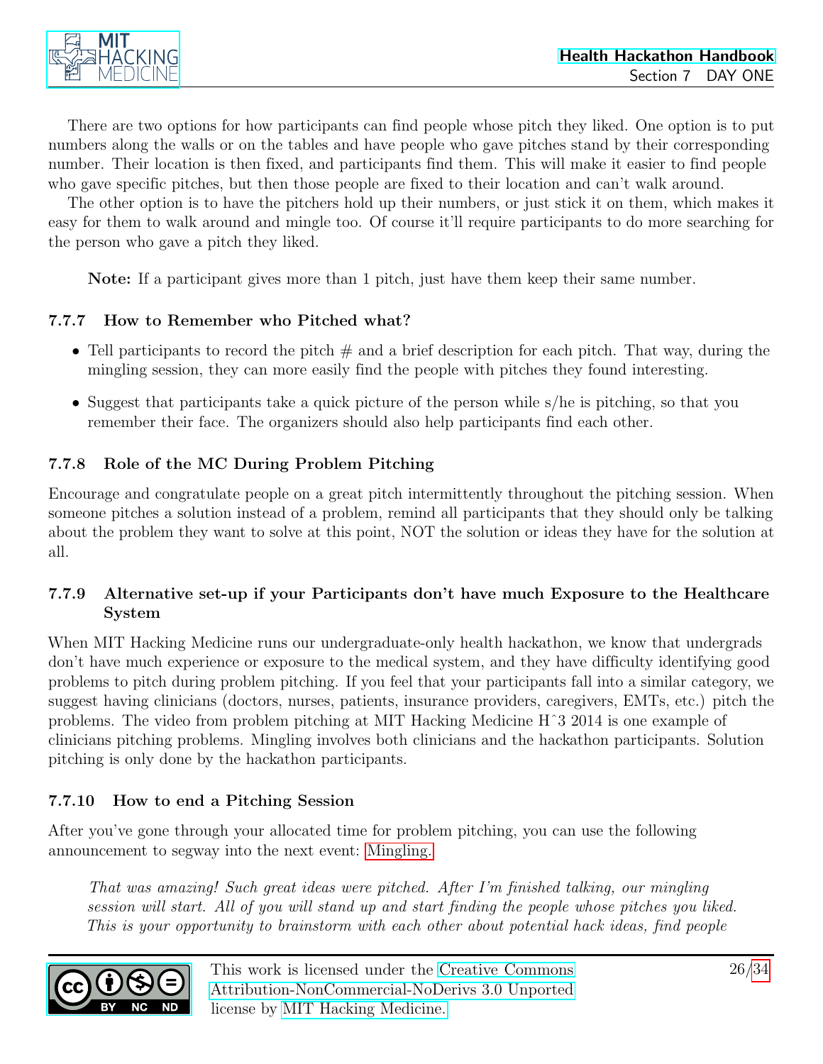

There are two options for how participants can find people whose pitch they liked. One option is to put numbers along the walls or on the tables and have people who gave pitches stand by their corresponding number. Their location is then fixed, and participants find them. This will make it easier to find people who gave specific pitches, but then those people are fixed to their location and can't walk around.

The other option is to have the pitchers hold up their numbers, or just stick it on them, which makes it easy for them to walk around and mingle too. Of course it'll require participants to do more searching for the person who gave a pitch they liked.

Note: If a participant gives more than 1 pitch, just have them keep their same number.

#### <span id="page-25-0"></span>7.7.7 How to Remember who Pitched what?

- Tell participants to record the pitch  $#$  and a brief description for each pitch. That way, during the mingling session, they can more easily find the people with pitches they found interesting.
- Suggest that participants take a quick picture of the person while s/he is pitching, so that you remember their face. The organizers should also help participants find each other.

#### <span id="page-25-1"></span>7.7.8 Role of the MC During Problem Pitching

Encourage and congratulate people on a great pitch intermittently throughout the pitching session. When someone pitches a solution instead of a problem, remind all participants that they should only be talking about the problem they want to solve at this point, NOT the solution or ideas they have for the solution at all.

#### <span id="page-25-2"></span>7.7.9 Alternative set-up if your Participants don't have much Exposure to the Healthcare System

When MIT Hacking Medicine runs our undergraduate-only health hackathon, we know that undergrads don't have much experience or exposure to the medical system, and they have difficulty identifying good problems to pitch during problem pitching. If you feel that your participants fall into a similar category, we suggest having clinicians (doctors, nurses, patients, insurance providers, caregivers, EMTs, etc.) pitch the problems. The video from problem pitching at MIT Hacking Medicine Hˆ3 2014 is one example of clinicians pitching problems. Mingling involves both clinicians and the hackathon participants. Solution pitching is only done by the hackathon participants.

#### <span id="page-25-3"></span>7.7.10 How to end a Pitching Session

After you've gone through your allocated time for problem pitching, you can use the following announcement to segway into the next event: [Mingling.](#page-26-0)

That was amazing! Such great ideas were pitched. After I'm finished talking, our mingling session will start. All of you will stand up and start finding the people whose pitches you liked. This is your opportunity to brainstorm with each other about potential hack ideas, find people

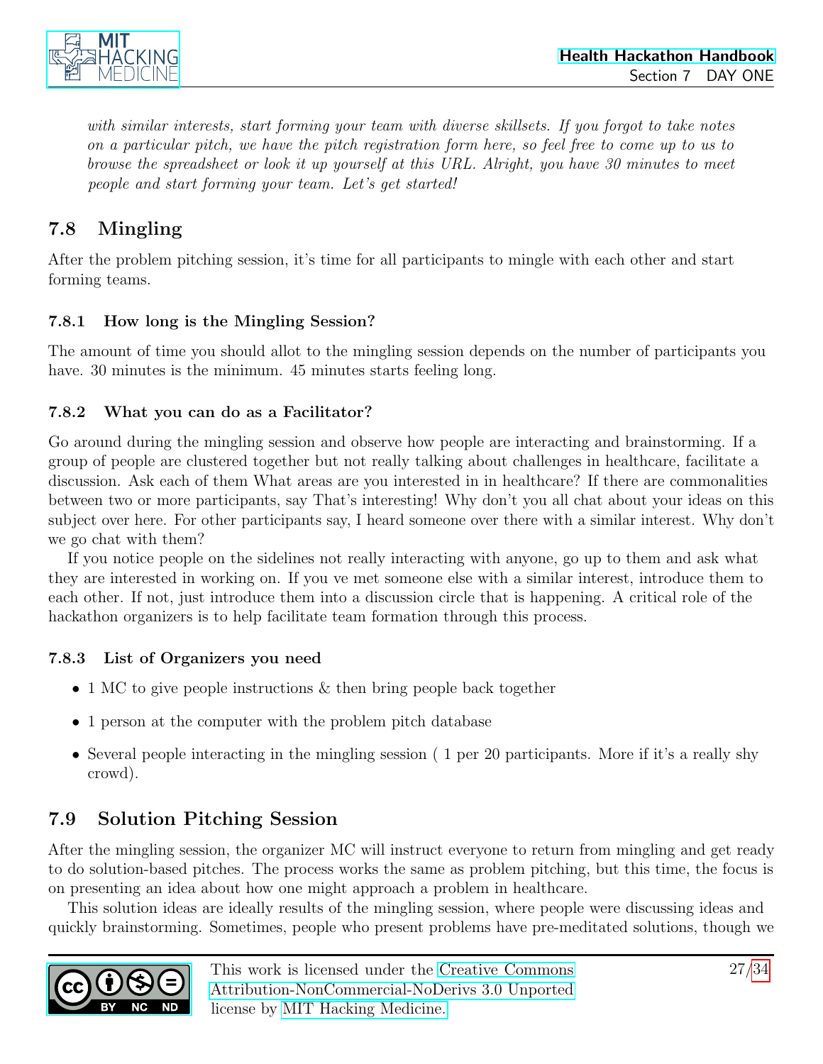

with similar interests, start forming your team with diverse skillsets. If you forgot to take notes on a particular pitch, we have the pitch registration form here, so feel free to come up to us to browse the spreadsheet or look it up yourself at this URL. Alright, you have 30 minutes to meet people and start forming your team. Let's get started!

### <span id="page-26-0"></span>7.8 Mingling

After the problem pitching session, it's time for all participants to mingle with each other and start forming teams.

#### <span id="page-26-1"></span>7.8.1 How long is the Mingling Session?

The amount of time you should allot to the mingling session depends on the number of participants you have. 30 minutes is the minimum. 45 minutes starts feeling long.

#### <span id="page-26-2"></span>7.8.2 What you can do as a Facilitator?

Go around during the mingling session and observe how people are interacting and brainstorming. If a group of people are clustered together but not really talking about challenges in healthcare, facilitate a discussion. Ask each of them What areas are you interested in in healthcare? If there are commonalities between two or more participants, say That's interesting! Why don't you all chat about your ideas on this subject over here. For other participants say, I heard someone over there with a similar interest. Why don't we go chat with them?

If you notice people on the sidelines not really interacting with anyone, go up to them and ask what they are interested in working on. If you ve met someone else with a similar interest, introduce them to each other. If not, just introduce them into a discussion circle that is happening. A critical role of the hackathon organizers is to help facilitate team formation through this process.

#### <span id="page-26-3"></span>7.8.3 List of Organizers you need

- 1 MC to give people instructions  $\&$  then bring people back together
- 1 person at the computer with the problem pitch database
- Several people interacting in the mingling session ( 1 per 20 participants. More if it's a really shy crowd).

### <span id="page-26-4"></span>7.9 Solution Pitching Session

After the mingling session, the organizer MC will instruct everyone to return from mingling and get ready to do solution-based pitches. The process works the same as problem pitching, but this time, the focus is on presenting an idea about how one might approach a problem in healthcare.

This solution ideas are ideally results of the mingling session, where people were discussing ideas and quickly brainstorming. Sometimes, people who present problems have pre-meditated solutions, though we

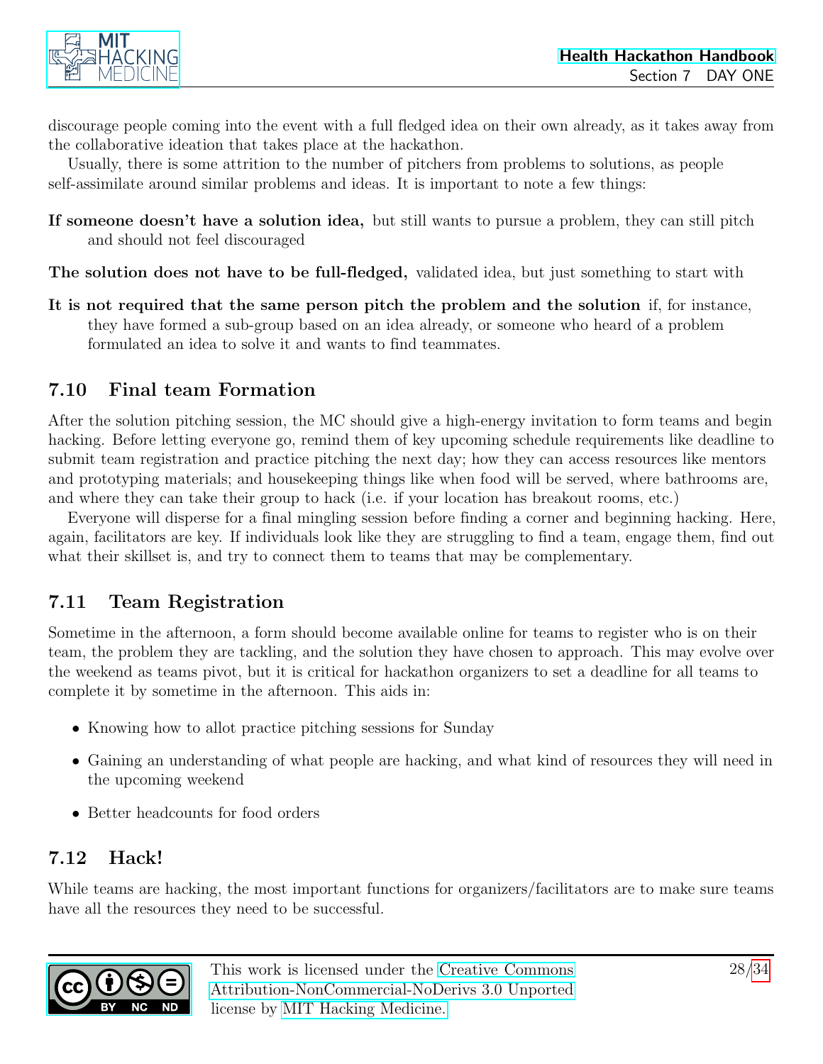

discourage people coming into the event with a full fledged idea on their own already, as it takes away from the collaborative ideation that takes place at the hackathon.

Usually, there is some attrition to the number of pitchers from problems to solutions, as people self-assimilate around similar problems and ideas. It is important to note a few things:

If someone doesn't have a solution idea, but still wants to pursue a problem, they can still pitch and should not feel discouraged

The solution does not have to be full-fledged, validated idea, but just something to start with

It is not required that the same person pitch the problem and the solution if, for instance, they have formed a sub-group based on an idea already, or someone who heard of a problem formulated an idea to solve it and wants to find teammates.

### <span id="page-27-0"></span>7.10 Final team Formation

After the solution pitching session, the MC should give a high-energy invitation to form teams and begin hacking. Before letting everyone go, remind them of key upcoming schedule requirements like deadline to submit team registration and practice pitching the next day; how they can access resources like mentors and prototyping materials; and housekeeping things like when food will be served, where bathrooms are, and where they can take their group to hack (i.e. if your location has breakout rooms, etc.)

Everyone will disperse for a final mingling session before finding a corner and beginning hacking. Here, again, facilitators are key. If individuals look like they are struggling to find a team, engage them, find out what their skillset is, and try to connect them to teams that may be complementary.

### <span id="page-27-1"></span>7.11 Team Registration

Sometime in the afternoon, a form should become available online for teams to register who is on their team, the problem they are tackling, and the solution they have chosen to approach. This may evolve over the weekend as teams pivot, but it is critical for hackathon organizers to set a deadline for all teams to complete it by sometime in the afternoon. This aids in:

- Knowing how to allot practice pitching sessions for Sunday
- Gaining an understanding of what people are hacking, and what kind of resources they will need in the upcoming weekend
- Better headcounts for food orders

### <span id="page-27-2"></span>7.12 Hack!

While teams are hacking, the most important functions for organizers/facilitators are to make sure teams have all the resources they need to be successful.

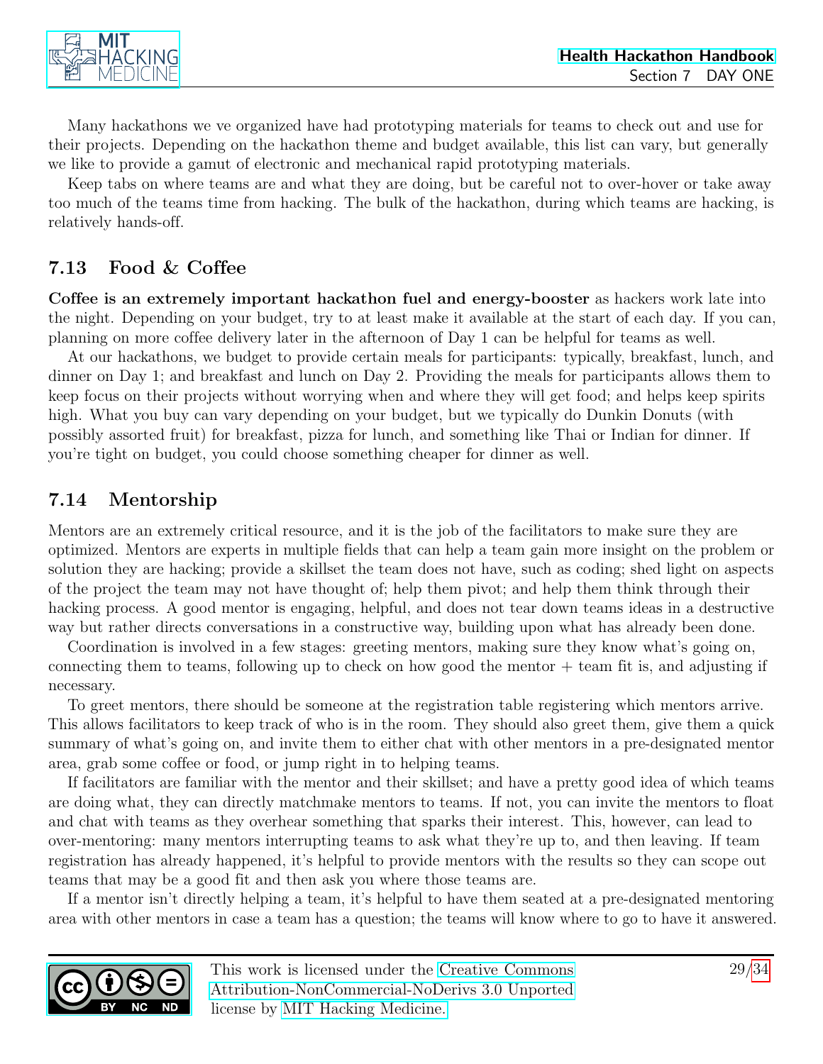

Many hackathons we ve organized have had prototyping materials for teams to check out and use for their projects. Depending on the hackathon theme and budget available, this list can vary, but generally we like to provide a gamut of electronic and mechanical rapid prototyping materials.

Keep tabs on where teams are and what they are doing, but be careful not to over-hover or take away too much of the teams time from hacking. The bulk of the hackathon, during which teams are hacking, is relatively hands-off.

### <span id="page-28-0"></span>7.13 Food & Coffee

Coffee is an extremely important hackathon fuel and energy-booster as hackers work late into the night. Depending on your budget, try to at least make it available at the start of each day. If you can, planning on more coffee delivery later in the afternoon of Day 1 can be helpful for teams as well.

At our hackathons, we budget to provide certain meals for participants: typically, breakfast, lunch, and dinner on Day 1; and breakfast and lunch on Day 2. Providing the meals for participants allows them to keep focus on their projects without worrying when and where they will get food; and helps keep spirits high. What you buy can vary depending on your budget, but we typically do Dunkin Donuts (with possibly assorted fruit) for breakfast, pizza for lunch, and something like Thai or Indian for dinner. If you're tight on budget, you could choose something cheaper for dinner as well.

### <span id="page-28-1"></span>7.14 Mentorship

Mentors are an extremely critical resource, and it is the job of the facilitators to make sure they are optimized. Mentors are experts in multiple fields that can help a team gain more insight on the problem or solution they are hacking; provide a skillset the team does not have, such as coding; shed light on aspects of the project the team may not have thought of; help them pivot; and help them think through their hacking process. A good mentor is engaging, helpful, and does not tear down teams ideas in a destructive way but rather directs conversations in a constructive way, building upon what has already been done.

Coordination is involved in a few stages: greeting mentors, making sure they know what's going on, connecting them to teams, following up to check on how good the mentor  $+$  team fit is, and adjusting if necessary.

To greet mentors, there should be someone at the registration table registering which mentors arrive. This allows facilitators to keep track of who is in the room. They should also greet them, give them a quick summary of what's going on, and invite them to either chat with other mentors in a pre-designated mentor area, grab some coffee or food, or jump right in to helping teams.

If facilitators are familiar with the mentor and their skillset; and have a pretty good idea of which teams are doing what, they can directly matchmake mentors to teams. If not, you can invite the mentors to float and chat with teams as they overhear something that sparks their interest. This, however, can lead to over-mentoring: many mentors interrupting teams to ask what they're up to, and then leaving. If team registration has already happened, it's helpful to provide mentors with the results so they can scope out teams that may be a good fit and then ask you where those teams are.

If a mentor isn't directly helping a team, it's helpful to have them seated at a pre-designated mentoring area with other mentors in case a team has a question; the teams will know where to go to have it answered.

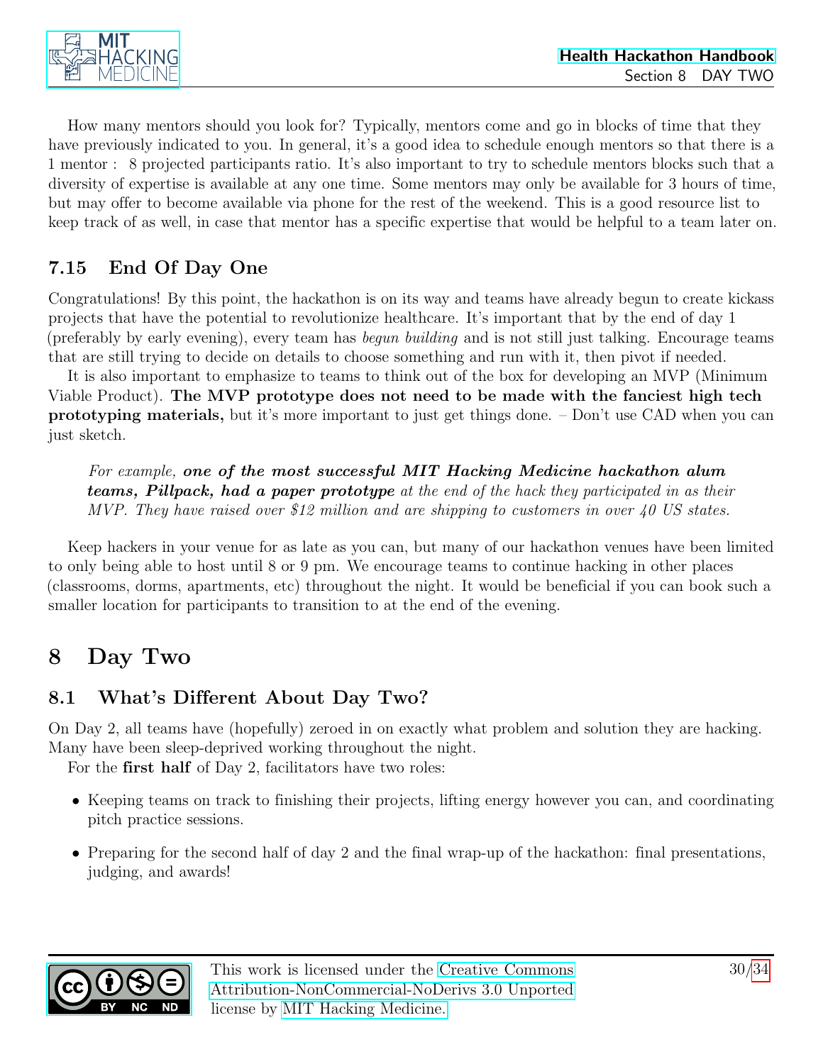

How many mentors should you look for? Typically, mentors come and go in blocks of time that they have previously indicated to you. In general, it's a good idea to schedule enough mentors so that there is a 1 mentor : 8 projected participants ratio. It's also important to try to schedule mentors blocks such that a diversity of expertise is available at any one time. Some mentors may only be available for 3 hours of time, but may offer to become available via phone for the rest of the weekend. This is a good resource list to keep track of as well, in case that mentor has a specific expertise that would be helpful to a team later on.

### <span id="page-29-0"></span>7.15 End Of Day One

Congratulations! By this point, the hackathon is on its way and teams have already begun to create kickass projects that have the potential to revolutionize healthcare. It's important that by the end of day 1 (preferably by early evening), every team has begun building and is not still just talking. Encourage teams that are still trying to decide on details to choose something and run with it, then pivot if needed.

It is also important to emphasize to teams to think out of the box for developing an MVP (Minimum Viable Product). The MVP prototype does not need to be made with the fanciest high tech prototyping materials, but it's more important to just get things done. – Don't use CAD when you can just sketch.

For example, one of the most successful MIT Hacking Medicine hackathon alum teams, Pillpack, had a paper prototype at the end of the hack they participated in as their MVP. They have raised over \$12 million and are shipping to customers in over 40 US states.

Keep hackers in your venue for as late as you can, but many of our hackathon venues have been limited to only being able to host until 8 or 9 pm. We encourage teams to continue hacking in other places (classrooms, dorms, apartments, etc) throughout the night. It would be beneficial if you can book such a smaller location for participants to transition to at the end of the evening.

## <span id="page-29-1"></span>8 Day Two

### <span id="page-29-2"></span>8.1 What's Different About Day Two?

On Day 2, all teams have (hopefully) zeroed in on exactly what problem and solution they are hacking. Many have been sleep-deprived working throughout the night.

For the first half of Day 2, facilitators have two roles:

- Keeping teams on track to finishing their projects, lifting energy however you can, and coordinating pitch practice sessions.
- Preparing for the second half of day 2 and the final wrap-up of the hackathon: final presentations, judging, and awards!

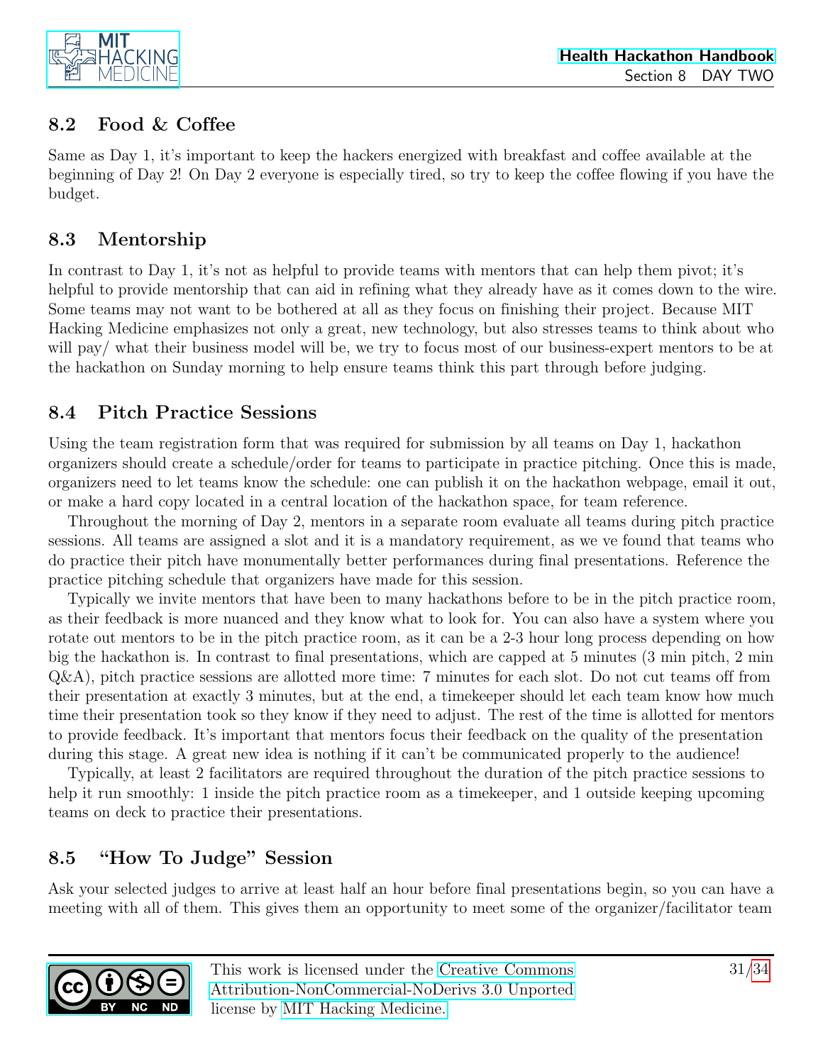

### <span id="page-30-0"></span>8.2 Food & Coffee

Same as Day 1, it's important to keep the hackers energized with breakfast and coffee available at the beginning of Day 2! On Day 2 everyone is especially tired, so try to keep the coffee flowing if you have the budget.

### <span id="page-30-1"></span>8.3 Mentorship

In contrast to Day 1, it's not as helpful to provide teams with mentors that can help them pivot; it's helpful to provide mentorship that can aid in refining what they already have as it comes down to the wire. Some teams may not want to be bothered at all as they focus on finishing their project. Because MIT Hacking Medicine emphasizes not only a great, new technology, but also stresses teams to think about who will pay/ what their business model will be, we try to focus most of our business-expert mentors to be at the hackathon on Sunday morning to help ensure teams think this part through before judging.

### <span id="page-30-2"></span>8.4 Pitch Practice Sessions

Using the team registration form that was required for submission by all teams on Day 1, hackathon organizers should create a schedule/order for teams to participate in practice pitching. Once this is made, organizers need to let teams know the schedule: one can publish it on the hackathon webpage, email it out, or make a hard copy located in a central location of the hackathon space, for team reference.

Throughout the morning of Day 2, mentors in a separate room evaluate all teams during pitch practice sessions. All teams are assigned a slot and it is a mandatory requirement, as we ve found that teams who do practice their pitch have monumentally better performances during final presentations. Reference the practice pitching schedule that organizers have made for this session.

Typically we invite mentors that have been to many hackathons before to be in the pitch practice room, as their feedback is more nuanced and they know what to look for. You can also have a system where you rotate out mentors to be in the pitch practice room, as it can be a 2-3 hour long process depending on how big the hackathon is. In contrast to final presentations, which are capped at 5 minutes (3 min pitch, 2 min Q&A), pitch practice sessions are allotted more time: 7 minutes for each slot. Do not cut teams off from their presentation at exactly 3 minutes, but at the end, a timekeeper should let each team know how much time their presentation took so they know if they need to adjust. The rest of the time is allotted for mentors to provide feedback. It's important that mentors focus their feedback on the quality of the presentation during this stage. A great new idea is nothing if it can't be communicated properly to the audience!

Typically, at least 2 facilitators are required throughout the duration of the pitch practice sessions to help it run smoothly: 1 inside the pitch practice room as a time keeper, and 1 outside keeping upcoming teams on deck to practice their presentations.

### <span id="page-30-3"></span>8.5 "How To Judge" Session

Ask your selected judges to arrive at least half an hour before final presentations begin, so you can have a meeting with all of them. This gives them an opportunity to meet some of the organizer/facilitator team

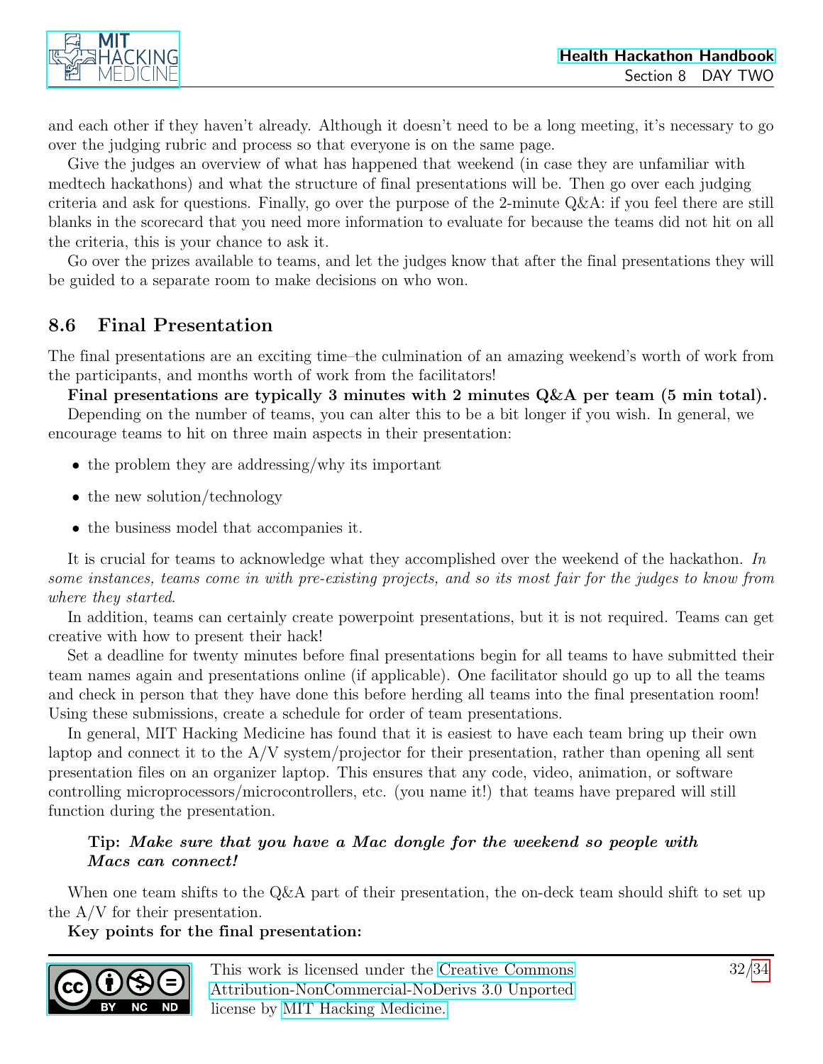and each other if they haven't already. Although it doesn't need to be a long meeting, it's necessary to go over the judging rubric and process so that everyone is on the same page.

Give the judges an overview of what has happened that weekend (in case they are unfamiliar with medtech hackathons) and what the structure of final presentations will be. Then go over each judging criteria and ask for questions. Finally, go over the purpose of the 2-minute Q&A: if you feel there are still blanks in the scorecard that you need more information to evaluate for because the teams did not hit on all the criteria, this is your chance to ask it.

Go over the prizes available to teams, and let the judges know that after the final presentations they will be guided to a separate room to make decisions on who won.

### <span id="page-31-0"></span>8.6 Final Presentation

The final presentations are an exciting time–the culmination of an amazing weekend's worth of work from the participants, and months worth of work from the facilitators!

Final presentations are typically 3 minutes with 2 minutes  $Q\&A$  per team (5 min total).

Depending on the number of teams, you can alter this to be a bit longer if you wish. In general, we encourage teams to hit on three main aspects in their presentation:

- the problem they are addressing/why its important
- the new solution/technology
- the business model that accompanies it.

It is crucial for teams to acknowledge what they accomplished over the weekend of the hackathon. In some instances, teams come in with pre-existing projects, and so its most fair for the judges to know from where they started.

In addition, teams can certainly create powerpoint presentations, but it is not required. Teams can get creative with how to present their hack!

Set a deadline for twenty minutes before final presentations begin for all teams to have submitted their team names again and presentations online (if applicable). One facilitator should go up to all the teams and check in person that they have done this before herding all teams into the final presentation room! Using these submissions, create a schedule for order of team presentations.

In general, MIT Hacking Medicine has found that it is easiest to have each team bring up their own laptop and connect it to the  $A/V$  system/projector for their presentation, rather than opening all sent presentation files on an organizer laptop. This ensures that any code, video, animation, or software controlling microprocessors/microcontrollers, etc. (you name it!) that teams have prepared will still function during the presentation.

#### Tip: Make sure that you have a Mac dongle for the weekend so people with Macs can connect!

When one team shifts to the Q&A part of their presentation, the on-deck team should shift to set up the A/V for their presentation.

Key points for the final presentation:

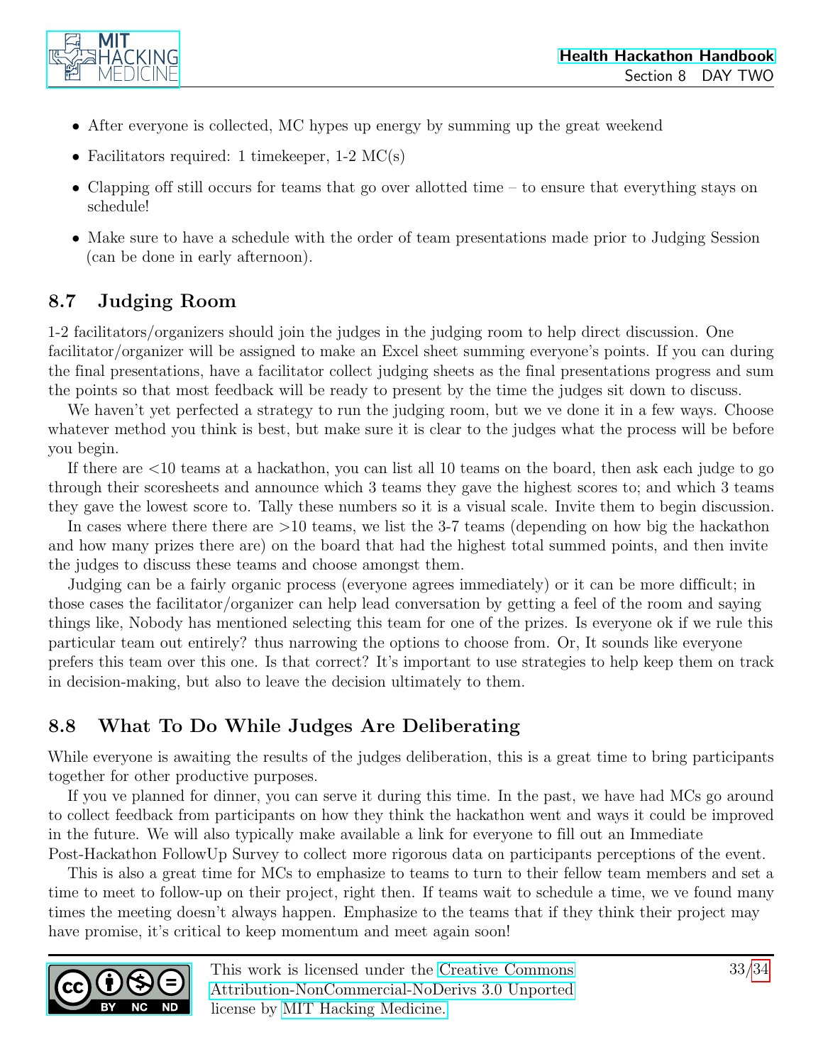

- After everyone is collected, MC hypes up energy by summing up the great weekend
- Facilitators required: 1 timekeeper,  $1-2 \text{ MC(s)}$
- Clapping off still occurs for teams that go over allotted time to ensure that everything stays on schedule!
- Make sure to have a schedule with the order of team presentations made prior to Judging Session (can be done in early afternoon).

### <span id="page-32-0"></span>8.7 Judging Room

1-2 facilitators/organizers should join the judges in the judging room to help direct discussion. One facilitator/organizer will be assigned to make an Excel sheet summing everyone's points. If you can during the final presentations, have a facilitator collect judging sheets as the final presentations progress and sum the points so that most feedback will be ready to present by the time the judges sit down to discuss.

We haven't yet perfected a strategy to run the judging room, but we ve done it in a few ways. Choose whatever method you think is best, but make sure it is clear to the judges what the process will be before you begin.

If there are <10 teams at a hackathon, you can list all 10 teams on the board, then ask each judge to go through their scoresheets and announce which 3 teams they gave the highest scores to; and which 3 teams they gave the lowest score to. Tally these numbers so it is a visual scale. Invite them to begin discussion.

In cases where there there are  $>10$  teams, we list the 3-7 teams (depending on how big the hackathon and how many prizes there are) on the board that had the highest total summed points, and then invite the judges to discuss these teams and choose amongst them.

Judging can be a fairly organic process (everyone agrees immediately) or it can be more difficult; in those cases the facilitator/organizer can help lead conversation by getting a feel of the room and saying things like, Nobody has mentioned selecting this team for one of the prizes. Is everyone ok if we rule this particular team out entirely? thus narrowing the options to choose from. Or, It sounds like everyone prefers this team over this one. Is that correct? It's important to use strategies to help keep them on track in decision-making, but also to leave the decision ultimately to them.

### <span id="page-32-1"></span>8.8 What To Do While Judges Are Deliberating

While everyone is awaiting the results of the judges deliberation, this is a great time to bring participants together for other productive purposes.

If you ve planned for dinner, you can serve it during this time. In the past, we have had MCs go around to collect feedback from participants on how they think the hackathon went and ways it could be improved in the future. We will also typically make available a link for everyone to fill out an Immediate Post-Hackathon FollowUp Survey to collect more rigorous data on participants perceptions of the event.

This is also a great time for MCs to emphasize to teams to turn to their fellow team members and set a time to meet to follow-up on their project, right then. If teams wait to schedule a time, we ve found many times the meeting doesn't always happen. Emphasize to the teams that if they think their project may have promise, it's critical to keep momentum and meet again soon!